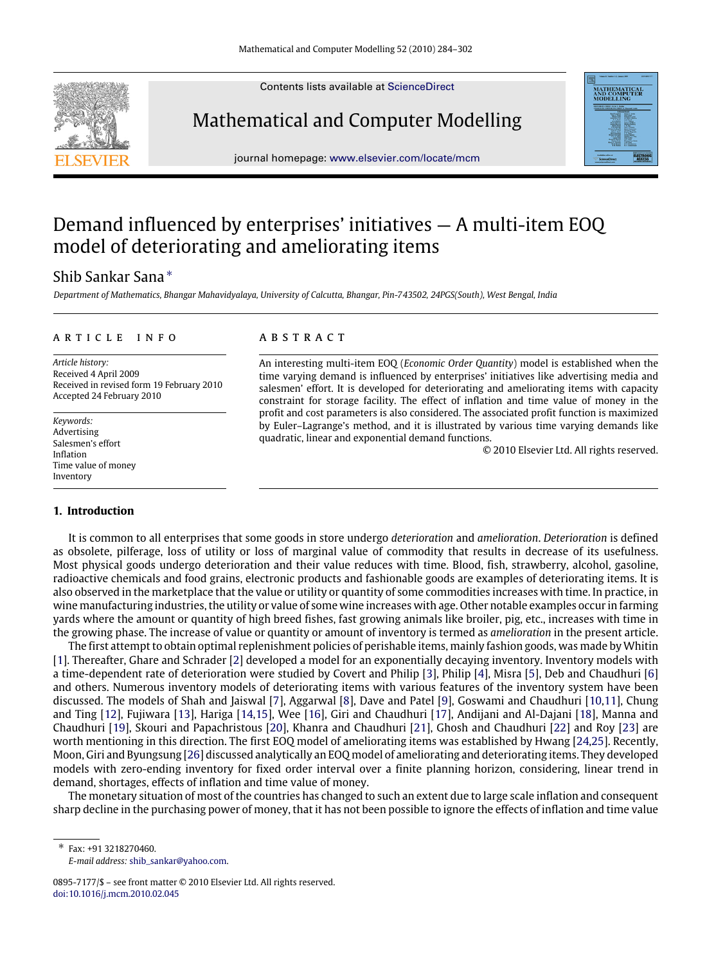Contents lists available at [ScienceDirect](http://www.elsevier.com/locate/mcm)

# Mathematical and Computer Modelling

journal homepage: [www.elsevier.com/locate/mcm](http://www.elsevier.com/locate/mcm)

## Demand influenced by enterprises' initiatives — A multi-item EOQ model of deteriorating and ameliorating items

## Shib Sankar Sana [∗](#page-0-0)

*Department of Mathematics, Bhangar Mahavidyalaya, University of Calcutta, Bhangar, Pin-743502, 24PGS(South), West Bengal, India*

#### a r t i c l e i n f o

*Article history:* Received 4 April 2009 Received in revised form 19 February 2010 Accepted 24 February 2010

*Keywords:* Advertising Salesmen's effort Inflation Time value of money Inventory

#### **1. Introduction**

## a b s t r a c t

An interesting multi-item EOQ (*Economic Order Quantity*) model is established when the time varying demand is influenced by enterprises' initiatives like advertising media and salesmen' effort. It is developed for deteriorating and ameliorating items with capacity constraint for storage facility. The effect of inflation and time value of money in the profit and cost parameters is also considered. The associated profit function is maximized by Euler–Lagrange's method, and it is illustrated by various time varying demands like quadratic, linear and exponential demand functions.

© 2010 Elsevier Ltd. All rights reserved.

It is common to all enterprises that some goods in store undergo *deterioration* and *amelioration*. *Deterioration* is defined as obsolete, pilferage, loss of utility or loss of marginal value of commodity that results in decrease of its usefulness. Most physical goods undergo deterioration and their value reduces with time. Blood, fish, strawberry, alcohol, gasoline, radioactive chemicals and food grains, electronic products and fashionable goods are examples of deteriorating items. It is also observed in the marketplace that the value or utility or quantity of some commodities increases with time. In practice, in wine manufacturing industries, the utility or value of some wine increases with age. Other notable examples occur in farming yards where the amount or quantity of high breed fishes, fast growing animals like broiler, pig, etc., increases with time in the growing phase. The increase of value or quantity or amount of inventory is termed as *amelioration* in the present article.

The first attempt to obtain optimal replenishment policies of perishable items, mainly fashion goods, was made by Whitin [\[1\]](#page-17-0). Thereafter, Ghare and Schrader [\[2\]](#page-17-1) developed a model for an exponentially decaying inventory. Inventory models with a time-dependent rate of deterioration were studied by Covert and Philip [\[3\]](#page-17-2), Philip [\[4\]](#page-17-3), Misra [\[5\]](#page-17-4), Deb and Chaudhuri [\[6\]](#page-17-5) and others. Numerous inventory models of deteriorating items with various features of the inventory system have been discussed. The models of Shah and Jaiswal [\[7\]](#page-17-6), Aggarwal [\[8\]](#page-17-7), Dave and Patel [\[9\]](#page-17-8), Goswami and Chaudhuri [\[10](#page-17-9)[,11\]](#page-17-10), Chung and Ting [\[12\]](#page-17-11), Fujiwara [\[13\]](#page-17-12), Hariga [\[14,](#page-17-13)[15\]](#page-17-14), Wee [\[16\]](#page-17-15), Giri and Chaudhuri [\[17\]](#page-18-0), Andijani and Al-Dajani [\[18\]](#page-18-1), Manna and Chaudhuri [\[19\]](#page-18-2), Skouri and Papachristous [\[20\]](#page-18-3), Khanra and Chaudhuri [\[21\]](#page-18-4), Ghosh and Chaudhuri [\[22\]](#page-18-5) and Roy [\[23\]](#page-18-6) are worth mentioning in this direction. The first EOQ model of ameliorating items was established by Hwang [\[24,](#page-18-7)[25\]](#page-18-8). Recently, Moon, Giri and Byungsung [\[26\]](#page-18-9) discussed analytically an EOQ model of ameliorating and deteriorating items. They developed models with zero-ending inventory for fixed order interval over a finite planning horizon, considering, linear trend in demand, shortages, effects of inflation and time value of money.

The monetary situation of most of the countries has changed to such an extent due to large scale inflation and consequent sharp decline in the purchasing power of money, that it has not been possible to ignore the effects of inflation and time value

<span id="page-0-0"></span>∗ Fax: +91 3218270460. *E-mail address:* [shib\\_sankar@yahoo.com.](mailto:shib_sankar@yahoo.com)





<sup>0895-7177/\$ –</sup> see front matter © 2010 Elsevier Ltd. All rights reserved. [doi:10.1016/j.mcm.2010.02.045](http://dx.doi.org/10.1016/j.mcm.2010.02.045)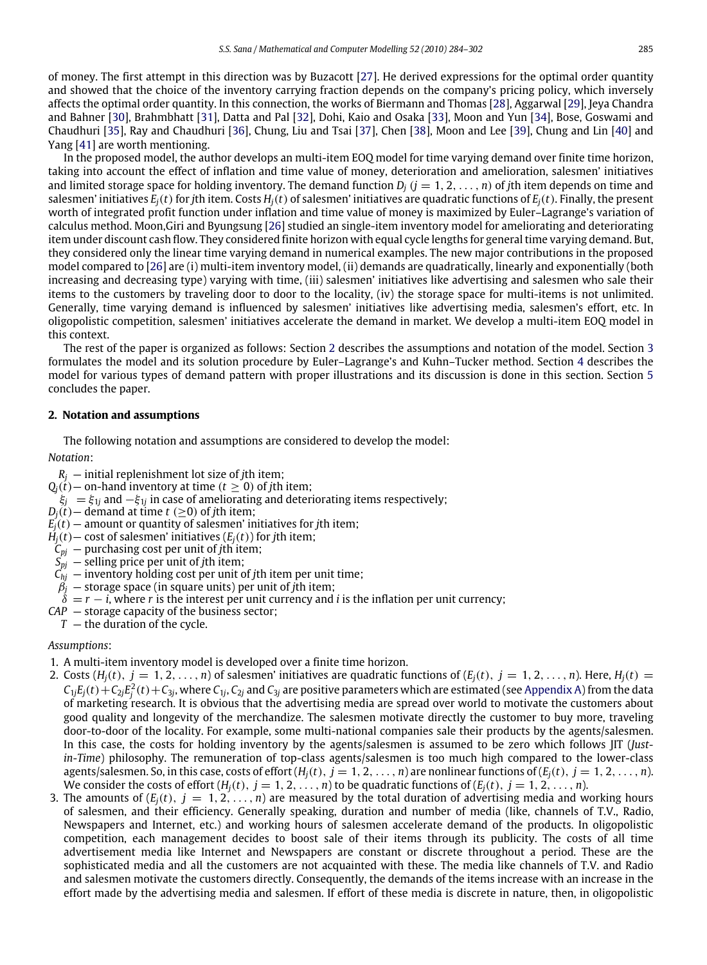of money. The first attempt in this direction was by Buzacott [\[27\]](#page-18-10). He derived expressions for the optimal order quantity and showed that the choice of the inventory carrying fraction depends on the company's pricing policy, which inversely affects the optimal order quantity. In this connection, the works of Biermann and Thomas [\[28\]](#page-18-11), Aggarwal [\[29\]](#page-18-12), Jeya Chandra and Bahner [\[30\]](#page-18-13), Brahmbhatt [\[31\]](#page-18-14), Datta and Pal [\[32\]](#page-18-15), Dohi, Kaio and Osaka [\[33\]](#page-18-16), Moon and Yun [\[34\]](#page-18-17), Bose, Goswami and Chaudhuri [\[35\]](#page-18-18), Ray and Chaudhuri [\[36\]](#page-18-19), Chung, Liu and Tsai [\[37\]](#page-18-20), Chen [\[38\]](#page-18-21), Moon and Lee [\[39\]](#page-18-22), Chung and Lin [\[40\]](#page-18-23) and Yang [\[41\]](#page-18-24) are worth mentioning.

In the proposed model, the author develops an multi-item EOQ model for time varying demand over finite time horizon, taking into account the effect of inflation and time value of money, deterioration and amelioration, salesmen' initiatives and limited storage space for holding inventory. The demand function  $D_i$  ( $j = 1, 2, \ldots, n$ ) of *j*th item depends on time and salesmen' initiatives  $E_i(t)$  for *j*th item. Costs  $H_i(t)$  of salesmen' initiatives are quadratic functions of  $E_i(t)$ . Finally, the present worth of integrated profit function under inflation and time value of money is maximized by Euler–Lagrange's variation of calculus method. Moon,Giri and Byungsung [\[26\]](#page-18-9) studied an single-item inventory model for ameliorating and deteriorating item under discount cash flow. They considered finite horizon with equal cycle lengths for general time varying demand. But, they considered only the linear time varying demand in numerical examples. The new major contributions in the proposed model compared to [\[26\]](#page-18-9) are (i) multi-item inventory model, (ii) demands are quadratically, linearly and exponentially (both increasing and decreasing type) varying with time, (iii) salesmen' initiatives like advertising and salesmen who sale their items to the customers by traveling door to door to the locality, (iv) the storage space for multi-items is not unlimited. Generally, time varying demand is influenced by salesmen' initiatives like advertising media, salesmen's effort, etc. In oligopolistic competition, salesmen' initiatives accelerate the demand in market. We develop a multi-item EOQ model in this context.

The rest of the paper is organized as follows: Section [2](#page-1-0) describes the assumptions and notation of the model. Section [3](#page-2-0) formulates the model and its solution procedure by Euler–Lagrange's and Kuhn–Tucker method. Section [4](#page-7-0) describes the model for various types of demand pattern with proper illustrations and its discussion is done in this section. Section [5](#page-14-0) concludes the paper.

#### <span id="page-1-0"></span>**2. Notation and assumptions**

The following notation and assumptions are considered to develop the model:

#### *Notation*:

- $R_i$  initial replenishment lot size of *j*th item;
- $Q_j(t)$  on-hand inventory at time ( $t \ge 0$ ) of *j*th item;
- ξ*<sup>j</sup>* = ξ<sup>1</sup>*<sup>j</sup>* and −ξ<sup>1</sup>*<sup>j</sup>* in case of ameliorating and deteriorating items respectively;
- $D_i(t)$  demand at time  $t \geq 0$  of *j*th item;
- $E_i(t)$  amount or quantity of salesmen' initiatives for *j*th item;
- $H_i(t)$  cost of salesmen' initiatives  $(E_i(t))$  for *j*th item;
- $C_{pj}$  purchasing cost per unit of *j*th item;
- *Spj* selling price per unit of *j*th item;
- $C_{hi}$  inventory holding cost per unit of *j*th item per unit time;
- $\beta_j$  storage space (in square units) per unit of *j*th item;
- $\dot{\delta} = r i$ , where *r* is the interest per unit currency and *i* is the inflation per unit currency;
- *CAP* storage capacity of the business sector;
	- $T -$  the duration of the cycle.

#### *Assumptions*:

- 1. A multi-item inventory model is developed over a finite time horizon.
- 2. Costs  $(H_i(t), j = 1, 2, \ldots, n)$  of salesmen' initiatives are quadratic functions of  $(E_i(t), j = 1, 2, \ldots, n)$ . Here,  $H_i(t) =$  $C_{1j}E_j(t)+C_{2j}E_j^2(t)+C_{3j}$ , where  $C_{1j}$ ,  $C_{2j}$  and  $C_{3j}$  are positive parameters which are estimated (see [Appendix A\)](#page-15-0) from the data of marketing research. It is obvious that the advertising media are spread over world to motivate the customers about good quality and longevity of the merchandize. The salesmen motivate directly the customer to buy more, traveling door-to-door of the locality. For example, some multi-national companies sale their products by the agents/salesmen. In this case, the costs for holding inventory by the agents/salesmen is assumed to be zero which follows JIT (*Justin-Time*) philosophy. The remuneration of top-class agents/salesmen is too much high compared to the lower-class agents/salesmen. So, in this case, costs of effort  $(H_i(t), j = 1, 2, \ldots, n)$  are nonlinear functions of  $(E_i(t), j = 1, 2, \ldots, n)$ . We consider the costs of effort  $(H_i(t), j = 1, 2, \ldots, n)$  to be quadratic functions of  $(E_i(t), j = 1, 2, \ldots, n)$ .
- 3. The amounts of  $(E_j(t), j = 1, 2, ..., n)$  are measured by the total duration of advertising media and working hours of salesmen, and their efficiency. Generally speaking, duration and number of media (like, channels of T.V., Radio, Newspapers and Internet, etc.) and working hours of salesmen accelerate demand of the products. In oligopolistic competition, each management decides to boost sale of their items through its publicity. The costs of all time advertisement media like Internet and Newspapers are constant or discrete throughout a period. These are the sophisticated media and all the customers are not acquainted with these. The media like channels of T.V. and Radio and salesmen motivate the customers directly. Consequently, the demands of the items increase with an increase in the effort made by the advertising media and salesmen. If effort of these media is discrete in nature, then, in oligopolistic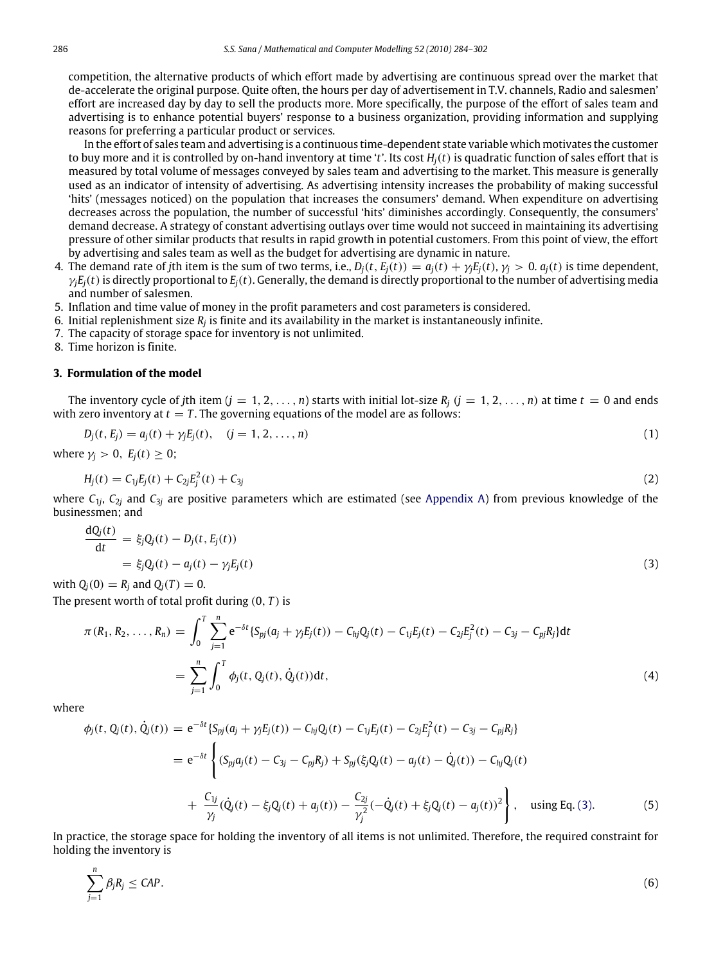competition, the alternative products of which effort made by advertising are continuous spread over the market that de-accelerate the original purpose. Quite often, the hours per day of advertisement in T.V. channels, Radio and salesmen' effort are increased day by day to sell the products more. More specifically, the purpose of the effort of sales team and advertising is to enhance potential buyers' response to a business organization, providing information and supplying reasons for preferring a particular product or services.

In the effort of sales team and advertising is a continuous time-dependent state variable which motivates the customer to buy more and it is controlled by on-hand inventory at time '*t*'. Its cost *Hj*(*t*) is quadratic function of sales effort that is measured by total volume of messages conveyed by sales team and advertising to the market. This measure is generally used as an indicator of intensity of advertising. As advertising intensity increases the probability of making successful 'hits' (messages noticed) on the population that increases the consumers' demand. When expenditure on advertising decreases across the population, the number of successful 'hits' diminishes accordingly. Consequently, the consumers' demand decrease. A strategy of constant advertising outlays over time would not succeed in maintaining its advertising pressure of other similar products that results in rapid growth in potential customers. From this point of view, the effort by advertising and sales team as well as the budget for advertising are dynamic in nature.

- 4. The demand rate of jth item is the sum of two terms, i.e.,  $D_i(t, E_i(t)) = a_i(t) + \gamma_i E_i(t), \gamma_i > 0$ .  $a_i(t)$  is time dependent,  $\gamma_i E_i(t)$  is directly proportional to  $E_i(t)$ . Generally, the demand is directly proportional to the number of advertising media and number of salesmen.
- 5. Inflation and time value of money in the profit parameters and cost parameters is considered.
- 6. Initial replenishment size  $R_j$  is finite and its availability in the market is instantaneously infinite.
- 7. The capacity of storage space for inventory is not unlimited.

8. Time horizon is finite.

#### <span id="page-2-0"></span>**3. Formulation of the model**

The inventory cycle of *j*th item  $(j = 1, 2, ..., n)$  starts with initial lot-size  $R_j$   $(j = 1, 2, ..., n)$  at time  $t = 0$  and ends with zero inventory at  $t = T$ . The governing equations of the model are as follows:

$$
D_j(t, E_j) = a_j(t) + \gamma_j E_j(t), \quad (j = 1, 2, ..., n)
$$
\n(1)

where  $\gamma_i > 0$ ,  $E_i(t) \geq 0$ ;

$$
H_j(t) = C_{1j}E_j(t) + C_{2j}E_j^2(t) + C_{3j}
$$
\n(2)

where *C*<sup>1</sup>*<sup>j</sup>* , *C*<sup>2</sup>*<sup>j</sup>* and *C*<sup>3</sup>*<sup>j</sup>* are positive parameters which are estimated (see [Appendix A\)](#page-15-0) from previous knowledge of the businessmen; and

<span id="page-2-1"></span>
$$
\frac{dQ_j(t)}{dt} = \xi_j Q_j(t) - D_j(t, E_j(t))
$$
  
=  $\xi_j Q_j(t) - a_j(t) - \gamma_j E_j(t)$  (3)

with  $Q_i(0) = R_i$  and  $Q_i(T) = 0$ .

The present worth of total profit during (0, *T* ) is

<span id="page-2-2"></span>
$$
\pi(R_1, R_2, \dots, R_n) = \int_0^T \sum_{j=1}^n e^{-\delta t} \{ S_{pj}(a_j + \gamma_j E_j(t)) - C_{hj} Q_j(t) - C_{1j} E_j(t) - C_{2j} E_j^2(t) - C_{3j} - C_{pj} R_j \} dt
$$
  

$$
= \sum_{j=1}^n \int_0^T \phi_j(t, Q_j(t), \dot{Q}_j(t)) dt,
$$
 (4)

where

$$
\phi_j(t, Q_j(t), \dot{Q}_j(t)) = e^{-\delta t} \{ S_{pj}(a_j + \gamma_j E_j(t)) - C_{hj} Q_j(t) - C_{1j} E_j(t) - C_{2j} E_j^2(t) - C_{3j} - C_{pj} R_j \}
$$
\n
$$
= e^{-\delta t} \left\{ (S_{pj} a_j(t) - C_{3j} - C_{pj} R_j) + S_{pj} (\xi_j Q_j(t) - a_j(t) - \dot{Q}_j(t)) - C_{hj} Q_j(t) + \frac{C_{1j}}{\gamma_j} (\dot{Q}_j(t) - \xi_j Q_j(t) + a_j(t)) - \frac{C_{2j}}{\gamma_j^2} (-\dot{Q}_j(t) + \xi_j Q_j(t) - a_j(t))^2 \right\}, \text{ using Eq. (3).}
$$
\n(5)

In practice, the storage space for holding the inventory of all items is not unlimited. Therefore, the required constraint for holding the inventory is

$$
\sum_{j=1}^{n} \beta_j R_j \leq CAP. \tag{6}
$$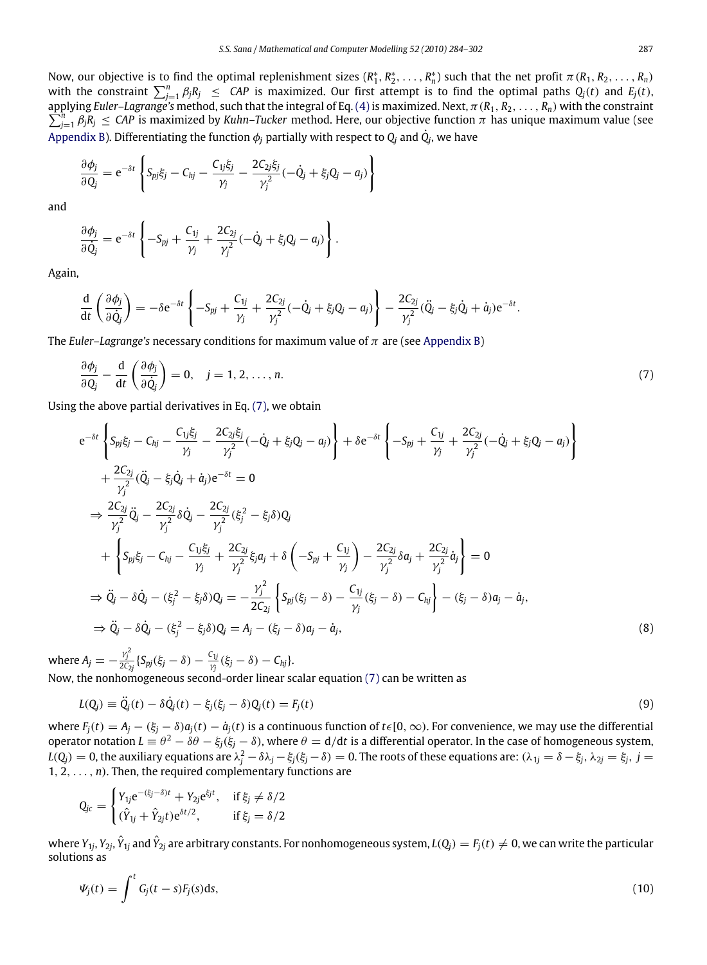Now, our objective is to find the optimal replenishment sizes  $(R_1^*, R_2^*, \ldots, R_n^*)$  such that the net profit  $\pi(R_1, R_2, \ldots, R_n)$ with the constraint  $\sum_{j=1}^{n} \beta_j R_j \leq CAP$  is maximized. Our first attempt is to find the optimal paths  $Q_j(t)$  and  $E_j(t)$ , applying  $\sum$ plying Euler–Lagrange's method, such that the integral of Eq. [\(4\)](#page-2-2) is maximized. Next,  $\pi$  (R<sub>1</sub>, R<sub>2</sub>, . . . , R<sub>n</sub>) with the constraint<br>]=1  $\beta_j$ R<sub>j</sub>  $\leq$  CAP is maximized by Kuhn–Tucker method. Here, our objective fun [Appendix B\)](#page-16-0). Differentiating the function  $\phi_j$  partially with respect to  $\mathrm{Q}_j$  and  $\dot{\mathrm{Q}}_j$ , we have

$$
\frac{\partial \phi_j}{\partial Q_j} = e^{-\delta t} \left\{ S_{pj} \xi_j - C_{hj} - \frac{C_{1j} \xi_j}{\gamma_j} - \frac{2C_{2j} \xi_j}{\gamma_j^2} (-\dot{Q}_j + \xi_j Q_j - a_j) \right\}
$$

and

$$
\frac{\partial \phi_j}{\partial \dot{Q}_j} = e^{-\delta t} \left\{ -S_{pj} + \frac{C_{1j}}{\gamma_j} + \frac{2C_{2j}}{\gamma_j^2} (-\dot{Q}_j + \xi_j Q_j - a_j) \right\}.
$$

Again,

$$
\frac{\mathrm{d}}{\mathrm{d}t}\left(\frac{\partial\phi_j}{\partial\dot{Q}_j}\right)=-\delta\mathrm{e}^{-\delta t}\left\{-S_{pj}+\frac{C_{1j}}{\gamma_j}+\frac{2C_{2j}}{\gamma_j^2}(-\dot{Q}_j+\xi_jQ_j-q_j)\right\}-\frac{2C_{2j}}{\gamma_j^2}(\ddot{Q}_j-\xi_j\dot{Q}_j+\dot{a}_j)\mathrm{e}^{-\delta t}.
$$

The *Euler–Lagrange's* necessary conditions for maximum value of  $\pi$  are (see [Appendix B\)](#page-16-0)

<span id="page-3-0"></span>
$$
\frac{\partial \phi_j}{\partial Q_j} - \frac{d}{dt} \left( \frac{\partial \phi_j}{\partial \dot{Q}_j} \right) = 0, \quad j = 1, 2, \dots, n. \tag{7}
$$

Using the above partial derivatives in Eq. [\(7\),](#page-3-0) we obtain

$$
e^{-\delta t} \left\{ S_{pj} \xi_j - C_{hj} - \frac{C_{1j} \xi_j}{\gamma_j} - \frac{2C_{2j} \xi_j}{\gamma_j^2} (-\dot{Q}_j + \xi_j Q_j - a_j) \right\} + \delta e^{-\delta t} \left\{ -S_{pj} + \frac{C_{1j}}{\gamma_j} + \frac{2C_{2j}}{\gamma_j^2} (-\dot{Q}_j + \xi_j Q_j - a_j) \right\} + \frac{2C_{2j}}{\gamma_j^2} (\ddot{Q}_j - \xi_j \dot{Q}_j + \dot{a}_j) e^{-\delta t} = 0 \n\Rightarrow \frac{2C_{2j}}{\gamma_j^2} \ddot{Q}_j - \frac{2C_{2j}}{\gamma_j^2} \delta \dot{Q}_j - \frac{2C_{2j}}{\gamma_j^2} (\xi_j^2 - \xi_j \delta) Q_j + \left\{ S_{pj} \xi_j - C_{hj} - \frac{C_{1j} \xi_j}{\gamma_j} + \frac{2C_{2j}}{\gamma_j^2} \xi_j a_j + \delta \left( -S_{pj} + \frac{C_{1j}}{\gamma_j} \right) - \frac{2C_{2j}}{\gamma_j^2} \delta a_j + \frac{2C_{2j}}{\gamma_j^2} \dot{a}_j \right\} = 0 \n\Rightarrow \ddot{Q}_j - \delta \dot{Q}_j - (\xi_j^2 - \xi_j \delta) Q_j = -\frac{\gamma_j^2}{2C_{2j}} \left\{ S_{pj} (\xi_j - \delta) - \frac{C_{1j}}{\gamma_j} (\xi_j - \delta) - C_{hj} \right\} - (\xi_j - \delta) a_j - \dot{a}_j, \n\Rightarrow \ddot{Q}_j - \delta \dot{Q}_j - (\xi_j^2 - \xi_j \delta) Q_j = A_j - (\xi_j - \delta) a_j - \dot{a}_j,
$$
\n(8)

where  $A_j = -\frac{\gamma_j^2}{2C_{2j}}\left\{S_{pj}(\xi_j-\delta)-\frac{C_{1j}}{\gamma_j}\right\}$  $\frac{\partial^2 \mathbf{V}_j}{\partial \dot{y}}(\xi_j-\delta)-C_{hj}\}.$ Now, the nonhomogeneous second-order linear scalar equation [\(7\)](#page-3-0) can be written as

$$
L(Q_j) \equiv \ddot{Q}_j(t) - \delta \dot{Q}_j(t) - \xi_j(\xi_j - \delta) Q_j(t) = F_j(t)
$$
\n(9)

where  $F_i(t) = A_i - (\xi_i - \delta) a_i(t) - a_i(t)$  is a continuous function of  $t \in [0, \infty)$ . For convenience, we may use the differential operator notation  $L\equiv\theta^2-\delta\theta-\xi_j(\xi_j-\delta)$ , where  $\theta={\rm d}/{\rm d} t$  is a differential operator. In the case of homogeneous system,  $L(Q_j)=0$ , the auxiliary equations are  $\lambda_j^2-\delta\lambda_j-\xi_j(\xi_j-\delta)=0.$  The roots of these equations are:  $(\lambda_{1j}=\delta-\xi_j,\lambda_{2j}=\xi_j,\,j=1,2$  $1, 2, \ldots, n$ ). Then, the required complementary functions are

$$
Q_{jc} = \begin{cases} Y_{1j}e^{-(\xi_j-\delta)t} + Y_{2j}e^{\xi_j t}, & \text{if } \xi_j \neq \delta/2\\ (\hat{Y}_{1j} + \hat{Y}_{2j}t)e^{\delta t/2}, & \text{if } \xi_j = \delta/2 \end{cases}
$$

where Y $_{1j}$ , Y $_{2j}$ ,  $\hat{Y}_{1j}$  and  $\hat{Y}_{2j}$  are arbitrary constants. For nonhomogeneous system,  $L(Q_j)=F_j(t)\neq 0$ , we can write the particular solutions as

$$
\Psi_j(t) = \int^t G_j(t-s)F_j(s)ds,\tag{10}
$$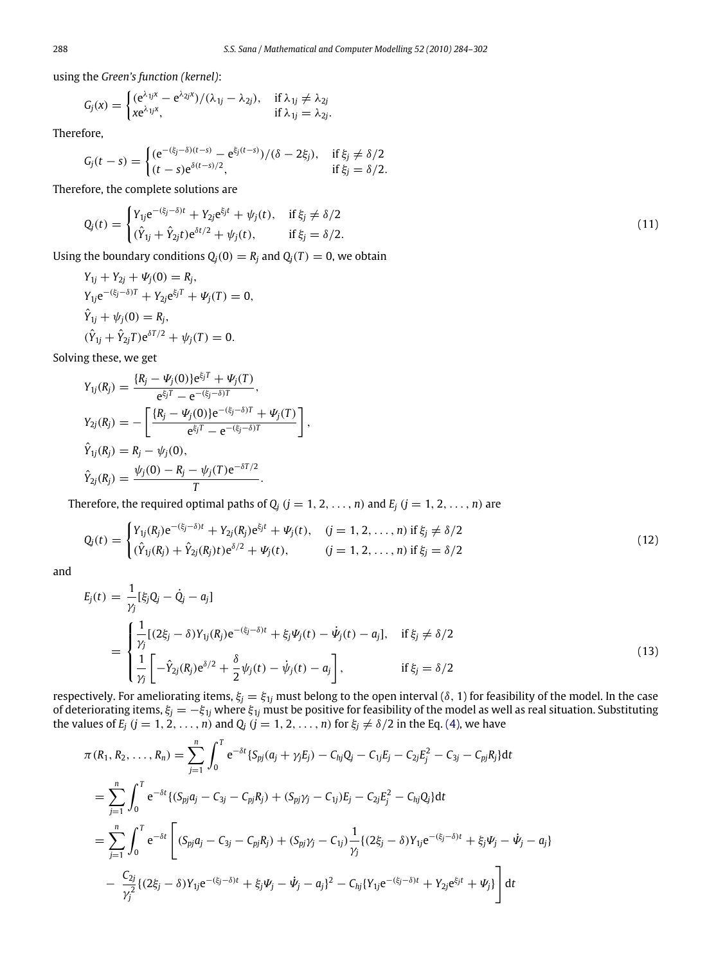using the *Green's function (kernel)*:

$$
G_j(x) = \begin{cases} (e^{\lambda_{1j}x} - e^{\lambda_{2j}x})/(\lambda_{1j} - \lambda_{2j}), & \text{if } \lambda_{1j} \neq \lambda_{2j} \\ xe^{\lambda_{1j}x}, & \text{if } \lambda_{1j} = \lambda_{2j}. \end{cases}
$$

Therefore,

$$
G_j(t-s) = \begin{cases} (e^{-(\xi_j-\delta)(t-s)} - e^{\xi_j(t-s)})/(\delta - 2\xi_j), & \text{if } \xi_j \neq \delta/2\\ (t-s)e^{\delta(t-s)/2}, & \text{if } \xi_j = \delta/2. \end{cases}
$$

Therefore, the complete solutions are

$$
Q_j(t) = \begin{cases} Y_{1j}e^{-(\xi_j - \delta)t} + Y_{2j}e^{\xi_j t} + \psi_j(t), & \text{if } \xi_j \neq \delta/2\\ (\hat{Y}_{1j} + \hat{Y}_{2j}t)e^{\delta t/2} + \psi_j(t), & \text{if } \xi_j = \delta/2. \end{cases}
$$
(11)

Using the boundary conditions  $Q_i(0) = R_i$  and  $Q_i(T) = 0$ , we obtain

$$
Y_{1j} + Y_{2j} + \Psi_j(0) = R_j,
$$
  
\n
$$
Y_{1j}e^{-(\xi_j - \delta)T} + Y_{2j}e^{\xi_j T} + \Psi_j(T) = 0,
$$
  
\n
$$
\hat{Y}_{1j} + \psi_j(0) = R_j,
$$
  
\n
$$
(\hat{Y}_{1j} + \hat{Y}_{2j}T)e^{\delta T/2} + \psi_j(T) = 0.
$$

Solving these, we get

$$
Y_{1j}(R_j) = \frac{\{R_j - \Psi_j(0)\}e^{\xi_j T} + \Psi_j(T)}{e^{\xi_j T} - e^{-(\xi_j - \delta)T}},
$$
  
\n
$$
Y_{2j}(R_j) = -\left[\frac{\{R_j - \Psi_j(0)\}e^{-(\xi_j - \delta)T} + \Psi_j(T)}{e^{\xi_j T} - e^{-(\xi_j - \delta)T}}\right],
$$
  
\n
$$
\hat{Y}_{1j}(R_j) = R_j - \psi_j(0),
$$
  
\n
$$
\hat{Y}_{2j}(R_j) = \frac{\psi_j(0) - R_j - \psi_j(T)e^{-\delta T/2}}{T}.
$$

Therefore, the required optimal paths of  $Q$ <sup>*j*</sup> (*j* = 1, 2, ..., *n*) and  $E$ <sup>*j*</sup> (*j* = 1, 2, ..., *n*) are

$$
Q_j(t) = \begin{cases} Y_{1j}(R_j)e^{-(\xi_j-\delta)t} + Y_{2j}(R_j)e^{\xi_j t} + \Psi_j(t), & (j = 1, 2, ..., n) \text{ if } \xi_j \neq \delta/2\\ (\hat{Y}_{1j}(R_j) + \hat{Y}_{2j}(R_j)t)e^{\delta/2} + \Psi_j(t), & (j = 1, 2, ..., n) \text{ if } \xi_j = \delta/2 \end{cases}
$$
(12)

and

$$
E_j(t) = \frac{1}{\gamma_j} [\xi_j Q_j - \dot{Q}_j - a_j]
$$
  
= 
$$
\begin{cases} \frac{1}{\gamma_j} [(2\xi_j - \delta)Y_{1j}(R_j)e^{-(\xi_j - \delta)t} + \xi_j \psi_j(t) - \dot{\psi}_j(t) - a_j], & \text{if } \xi_j \neq \delta/2\\ \frac{1}{\gamma_j} \left[ -\hat{Y}_{2j}(R_j)e^{\delta/2} + \frac{\delta}{2} \psi_j(t) - \dot{\psi}_j(t) - a_j \right], & \text{if } \xi_j = \delta/2 \end{cases}
$$
(13)

respectively. For ameliorating items,  $\xi_j = \xi_{1j}$  must belong to the open interval ( $\delta$ , 1) for feasibility of the model. In the case of deteriorating items, ξ*<sup>j</sup>* = −ξ<sup>1</sup>*<sup>j</sup>* where ξ<sup>1</sup>*<sup>j</sup>* must be positive for feasibility of the model as well as real situation. Substituting the values of  $E_j$  ( $j = 1, 2, ..., n$ ) and  $Q_j$  ( $j = 1, 2, ..., n$ ) for  $\xi_j \neq \delta/2$  in the Eq. [\(4\),](#page-2-2) we have

$$
\pi(R_1, R_2, \dots, R_n) = \sum_{j=1}^n \int_0^T e^{-\delta t} \{ S_{pj}(a_j + \gamma_j E_j) - C_{hj} Q_j - C_{1j} E_j - C_{2j} E_j^2 - C_{3j} - C_{pj} R_j \} dt
$$
  
\n
$$
= \sum_{j=1}^n \int_0^T e^{-\delta t} \{ (S_{pj} a_j - C_{3j} - C_{pj} R_j) + (S_{pj} \gamma_j - C_{1j}) E_j - C_{2j} E_j^2 - C_{hj} Q_j \} dt
$$
  
\n
$$
= \sum_{j=1}^n \int_0^T e^{-\delta t} \left[ (S_{pj} a_j - C_{3j} - C_{pj} R_j) + (S_{pj} \gamma_j - C_{1j}) \frac{1}{\gamma_j} \{ (2 \xi_j - \delta) Y_{1j} e^{-(\xi_j - \delta)t} + \xi_j \psi_j - \psi_j - a_j \} \right]
$$
  
\n
$$
- \frac{C_{2j}}{\gamma_j^2} \{ (2 \xi_j - \delta) Y_{1j} e^{-(\xi_j - \delta)t} + \xi_j \psi_j - \psi_j - a_j \}^2 - C_{hj} \{ Y_{1j} e^{-(\xi_j - \delta)t} + Y_{2j} e^{\xi_j t} + \psi_j \} \right] dt
$$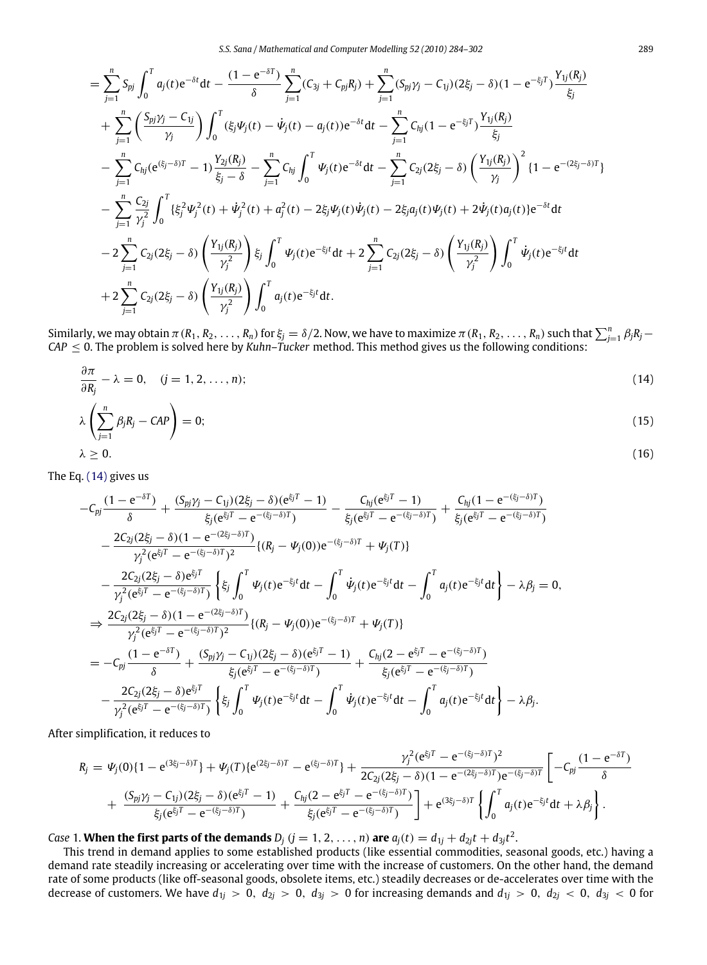$$
= \sum_{j=1}^{n} S_{pj} \int_{0}^{T} a_{j}(t) e^{-\delta t} dt - \frac{(1 - e^{-\delta T})}{\delta} \sum_{j=1}^{n} (C_{3j} + C_{pj}R_{j}) + \sum_{j=1}^{n} (S_{pj}\gamma_{j} - C_{1j})(2\xi_{j} - \delta)(1 - e^{-\xi_{j}T}) \frac{Y_{1j}(R_{j})}{\xi_{j}} + \sum_{j=1}^{n} \left(\frac{S_{pj}\gamma_{j} - C_{1j}}{\gamma_{j}}\right) \int_{0}^{T} (\xi_{j}\Psi_{j}(t) - \dot{\Psi}_{j}(t) - a_{j}(t)) e^{-\delta t} dt - \sum_{j=1}^{n} C_{hj}(1 - e^{-\xi_{j}T}) \frac{Y_{1j}(R_{j})}{\xi_{j}} - \sum_{j=1}^{n} C_{hj}(e^{(\xi_{j} - \delta)T} - 1) \frac{Y_{2j}(R_{j})}{\xi_{j} - \delta} - \sum_{j=1}^{n} C_{hj} \int_{0}^{T} \Psi_{j}(t) e^{-\delta t} dt - \sum_{j=1}^{n} C_{2j}(2\xi_{j} - \delta) \left(\frac{Y_{1j}(R_{j})}{\gamma_{j}}\right)^{2} \{1 - e^{-(2\xi_{j} - \delta)T}\} - \sum_{j=1}^{n} \frac{C_{2j}}{\gamma_{j}^{2}} \int_{0}^{T} {\{\xi_{j}^{2}\Psi_{j}^{2}(t) + \dot{\Psi}_{j}^{2}(t) + a_{j}^{2}(t) - 2\xi_{j}\Psi_{j}(t)\dot{\Psi}_{j}(t) - 2\xi_{j}a_{j}(t)\Psi_{j}(t) + 2\dot{\Psi}_{j}(t)a_{j}(t)\} e^{-\delta t} dt - 2\sum_{j=1}^{n} C_{2j}(2\xi_{j} - \delta) \left(\frac{Y_{1j}(R_{j})}{\gamma_{j}^{2}}\right) \xi_{j} \int_{0}^{T} \Psi_{j}(t) e^{-\xi_{j}t} dt + 2\sum_{j=1}^{n} C_{2j}(2\xi_{j} - \delta) \left(\frac{Y_{1j}(R_{j})}{\gamma_{j}^{2}}\right) \int_{0}^{T} \dot{\Psi}_{j}(t) e^{-\xi_{j}t} dt + 2\sum_{j=
$$

Similarly, we may obtain  $\pi$  ( $R_1, R_2, \ldots, R_n$ ) for  $\xi_j = \delta/2$ . Now, we have to maximize  $\pi$  ( $R_1, R_2, \ldots, R_n$ ) such that  $\sum_{j=1}^n \beta_j R_j CAP \leq 0$ . The problem is solved here by *Kuhn–Tucker* method. This method gives us the following conditions:

<span id="page-5-0"></span>
$$
\frac{\partial \pi}{\partial R_j} - \lambda = 0, \quad (j = 1, 2, \dots, n); \tag{14}
$$

$$
\lambda \left( \sum_{j=1}^{n} \beta_j R_j - \mathsf{CAP} \right) = 0; \tag{15}
$$

<span id="page-5-1"></span>
$$
\lambda \geq 0. \tag{16}
$$

The Eq. [\(14\)](#page-5-0) gives us

$$
-C_{pj}\frac{(1-e^{-\delta T})}{\delta} + \frac{(S_{pj}\gamma_j - C_{1j})(2\xi_j - \delta)(e^{\xi_j T} - 1)}{\xi_j(e^{\xi_j T} - e^{-(\xi_j - \delta)T})} - \frac{C_{hj}(e^{\xi_j T} - 1)}{\xi_j(e^{\xi_j T} - e^{-(\xi_j - \delta)T})} + \frac{C_{hj}(1 - e^{-(\xi_j - \delta)T})}{\xi_j(e^{\xi_j T} - e^{-(\xi_j - \delta)T})}
$$
  
\n
$$
- \frac{2C_{2j}(2\xi_j - \delta)(1 - e^{-(2\xi_j - \delta)T})}{\gamma_j^2(e^{\xi_j T} - e^{-(\xi_j - \delta)T})} \{(R_j - \Psi_j(0))e^{-(\xi_j - \delta)T} + \Psi_j(T)\}
$$
  
\n
$$
- \frac{2C_{2j}(2\xi_j - \delta)e^{\xi_j T}}{\gamma_j^2(e^{\xi_j T} - e^{-(\xi_j - \delta)T})} \left\{\xi_j \int_0^T \Psi_j(t)e^{-\xi_j t}dt - \int_0^T \Psi_j(t)e^{-\xi_j t}dt - \int_0^T a_j(t)e^{-\xi_j t}dt\right\} - \lambda\beta_j = 0,
$$
  
\n
$$
\Rightarrow \frac{2C_{2j}(2\xi_j - \delta)(1 - e^{-(2\xi_j - \delta)T})}{\gamma_j^2(e^{\xi_j T} - e^{-(\xi_j - \delta)T})^2} \{(R_j - \Psi_j(0))e^{-(\xi_j - \delta)T} + \Psi_j(T)\}
$$
  
\n
$$
= -C_{pj}\frac{(1 - e^{-\delta T})}{\delta} + \frac{(S_{pj}\gamma_j - C_{1j})(2\xi_j - \delta)(e^{\xi_j T} - 1)}{\xi_j(e^{\xi_j T} - e^{-(\xi_j - \delta)T})} + \frac{C_{hj}(2 - e^{\xi_j T} - e^{-(\xi_j - \delta)T})}{\xi_j(e^{\xi_j T} - e^{-(\xi_j - \delta)T})}
$$
  
\n
$$
- \frac{2C_{2j}(2\xi_j - \delta)e^{\xi_j T}}{\gamma_j^2(e^{\xi_j T} - e^{-(\xi_j - \delta)T})} \left\{\xi_j \int_0^T \Psi_j(t)e^{-\xi_j t}dt - \int_0^T \Psi_j(t)e^{-\xi_j t}dt
$$

After simplification, it reduces to

$$
R_{j} = \Psi_{j}(0)\left\{1 - e^{(3\xi_{j} - \delta)T}\right\} + \Psi_{j}(T)\left\{e^{(2\xi_{j} - \delta)T} - e^{(\xi_{j} - \delta)T}\right\} + \frac{\gamma_{j}^{2}(e^{\xi_{j}T} - e^{-(\xi_{j} - \delta)T})^{2}}{2C_{2j}(2\xi_{j} - \delta)(1 - e^{-(2\xi_{j} - \delta)T})e^{-(\xi_{j} - \delta)T}}\left[-C_{pj}\frac{(1 - e^{-\delta T})^{2}}{\delta}\right] + \frac{(S_{pj}\gamma_{j} - C_{1j})(2\xi_{j} - \delta)(e^{\xi_{j}T} - 1)}{\xi_{j}(e^{\xi_{j}T} - e^{-(\xi_{j} - \delta)T})} + \frac{C_{hj}(2 - e^{\xi_{j}T} - e^{-(\xi_{j} - \delta)T})}{\xi_{j}(e^{\xi_{j}T} - e^{-(\xi_{j} - \delta)T})}\right\} + e^{(3\xi_{j} - \delta)T}\left\{\int_{0}^{T} a_{j}(t)e^{-\xi_{j}t}dt + \lambda \beta_{j}\right\}.
$$

Case 1. When the first parts of the demands  $D_j$   $(j = 1, 2, ..., n)$  are  $a_j(t) = d_{1j} + d_{2j}t + d_{3j}t^2$ .

This trend in demand applies to some established products (like essential commodities, seasonal goods, etc.) having a demand rate steadily increasing or accelerating over time with the increase of customers. On the other hand, the demand rate of some products (like off-seasonal goods, obsolete items, etc.) steadily decreases or de-accelerates over time with the decrease of customers. We have  $d_{1j} > 0$ ,  $d_{2j} > 0$ ,  $d_{3j} > 0$  for increasing demands and  $d_{1j} > 0$ ,  $d_{2j} < 0$ ,  $d_{3j} < 0$  for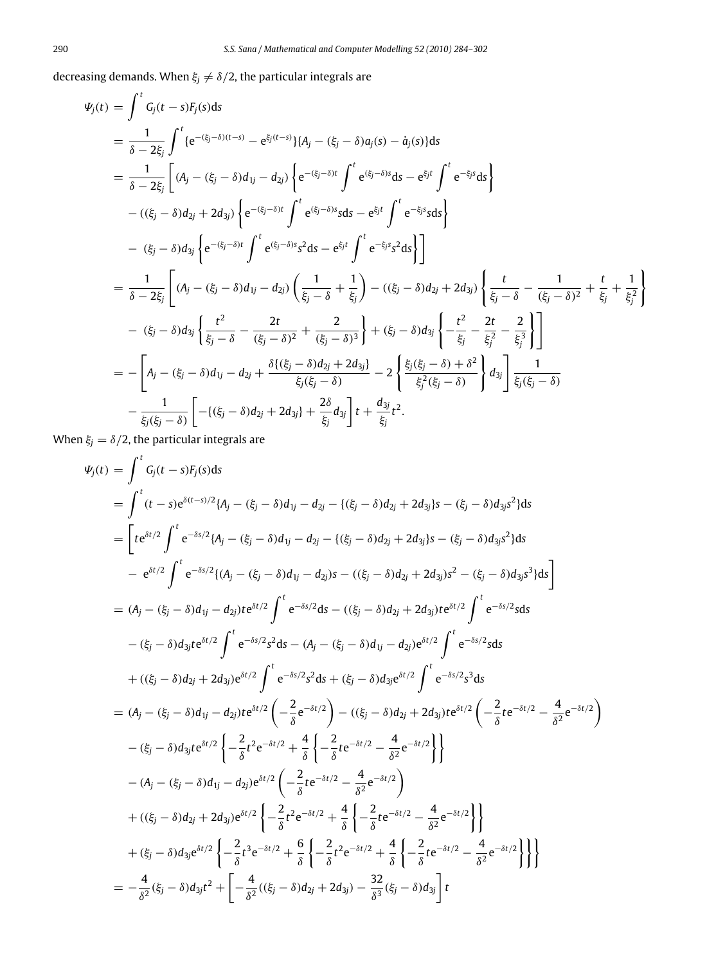decreasing demands. When  $\xi_j \neq \delta/2$ , the particular integrals are

$$
\Psi_{j}(t) = \int^{t} G_{j}(t-s)F_{j}(s)ds
$$
\n
$$
= \frac{1}{\delta - 2\xi_{j}} \int^{t} \{e^{-(\xi_{j}-\delta)(t-s)} - e^{\xi_{j}(t-s)}\} \{A_{j} - (\xi_{j} - \delta)a_{j}(s) - \dot{a}_{j}(s)\}ds
$$
\n
$$
= \frac{1}{\delta - 2\xi_{j}} \left[ (A_{j} - (\xi_{j} - \delta)d_{1j} - d_{2j}) \left\{ e^{-(\xi_{j}-\delta)t} \int^{t} e^{(\xi_{j}-\delta)s} ds - e^{\xi_{j}t} \int^{t} e^{-\xi_{j}s} ds \right\} - ((\xi_{j} - \delta)d_{2j} + 2d_{3j}) \left\{ e^{-(\xi_{j}-\delta)t} \int^{t} e^{(\xi_{j}-\delta)s} sds - e^{\xi_{j}t} \int^{t} e^{-\xi_{j}s} sds \right\}
$$
\n
$$
- (\xi_{j} - \delta)d_{3j} \left\{ e^{-(\xi_{j}-\delta)t} \int^{t} e^{(\xi_{j}-\delta)s} s^{2} ds - e^{\xi_{j}t} \int^{t} e^{-\xi_{j}s} s^{2} ds \right\}
$$
\n
$$
= \frac{1}{\delta - 2\xi_{j}} \left[ (A_{j} - (\xi_{j} - \delta)d_{1j} - d_{2j}) \left( \frac{1}{\xi_{j}-\delta} + \frac{1}{\xi_{j}} \right) - ((\xi_{j} - \delta)d_{2j} + 2d_{3j}) \left\{ \frac{t}{\xi_{j}-\delta} - \frac{1}{(\xi_{j}-\delta)^{2}} + \frac{t}{\xi_{j}} + \frac{1}{\xi_{j}^{2}} \right\}
$$
\n
$$
- (\xi_{j} - \delta)d_{3j} \left\{ \frac{t^{2}}{\xi_{j}-\delta} - \frac{2t}{(\xi_{j}-\delta)^{2}} + \frac{2}{(\xi_{j}-\delta)^{3}} \right\} + (\xi_{j} - \delta)d_{3j} \left\{ - \frac{t^{2}}{\xi_{j}} - \frac{2t}{\xi_{j}^{2}} - \frac{2t}{\xi_{j}^{3}} \right\}
$$
\n
$$
= -\left[ A_{j} - (\xi_{j} - \delta)d_{1j}
$$

When  $\xi_j = \delta/2$ , the particular integrals are

$$
\Psi_{j}(t) = \int^{t} G_{j}(t-s)F_{j}(s)ds
$$
\n
$$
= \int^{t} (t-s)e^{\delta(t-s)/2} \{A_{j} - (\xi_{j} - \delta) d_{1j} - d_{2j} - \{(\xi_{j} - \delta) d_{2j} + 2d_{3j}\} s - (\xi_{j} - \delta) d_{3j}s^{2}\}ds
$$
\n
$$
= \left[te^{\delta t/2} \int^{t} e^{-\delta s/2} \{A_{j} - (\xi_{j} - \delta) d_{1j} - d_{2j} - \{(\xi_{j} - \delta) d_{2j} + 2d_{3j}\} s - (\xi_{j} - \delta) d_{3j}s^{2}\}ds
$$
\n
$$
- e^{\delta t/2} \int^{t} e^{-\delta s/2} \{ (A_{j} - (\xi_{j} - \delta) d_{1j} - d_{2j}) s - ((\xi_{j} - \delta) d_{2j} + 2d_{3j}) s^{2} - (\xi_{j} - \delta) d_{3j}s^{3}\}ds \right]
$$
\n
$$
= (A_{j} - (\xi_{j} - \delta) d_{1j} - d_{2j})te^{\delta t/2} \int^{t} e^{-\delta s/2} ds - ((\xi_{j} - \delta) d_{2j} + 2d_{3j})te^{\delta t/2} \int^{t} e^{-\delta s/2} sds
$$
\n
$$
- (\xi_{j} - \delta) d_{3j}te^{\delta t/2} \int^{t} e^{-\delta s/2} s^{2} ds - (A_{j} - (\xi_{j} - \delta) d_{1j} - d_{2j})te^{\delta t/2} \int^{t} e^{-\delta s/2} sds
$$
\n
$$
+ ((\xi_{j} - \delta) d_{2j} + 2d_{3j})e^{\delta t/2} \int^{t} e^{-\delta s/2} s^{2} ds + (\xi_{j} - \delta) d_{3j}e^{\delta t/2} \int^{t} e^{-\delta s/2} s^{3} ds
$$
\n
$$
= (A_{j} - (\xi_{j} - \delta) d_{1j} - d_{2j})te^{\delta t/2} \left( -\frac{2}{\delta}e^{-\delta t/2} \right) - ((\xi_{j} - \delta) d_{2j} + 2d_{3j})te^{\delta t/2} \left(
$$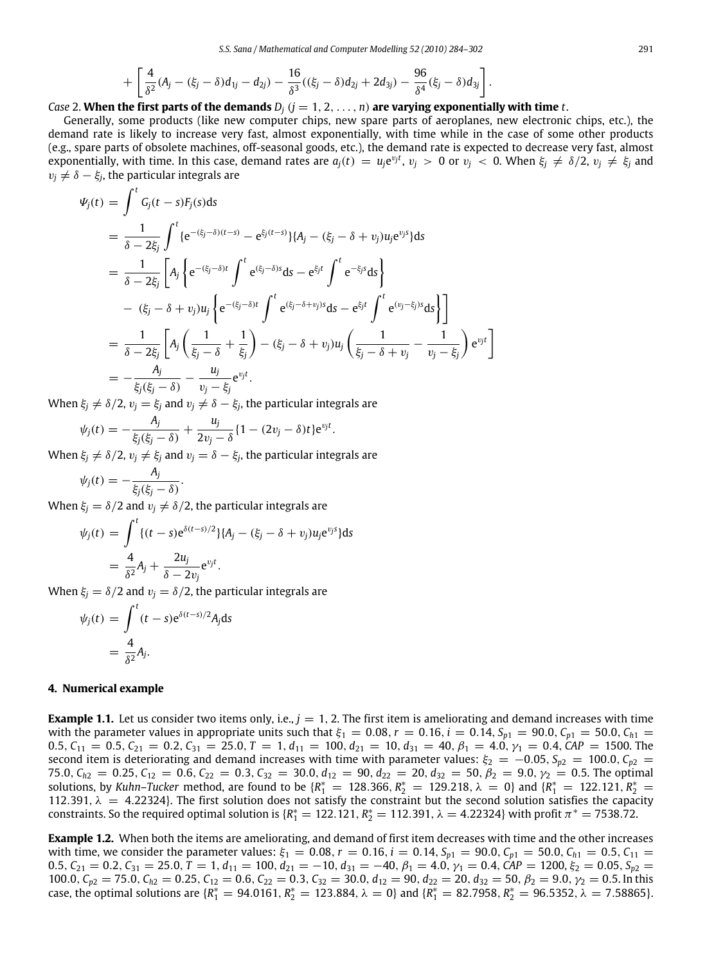$$
+\left[\frac{4}{\delta^2}(A_j-(\xi_j-\delta)d_{1j}-d_{2j})-\frac{16}{\delta^3}((\xi_j-\delta)d_{2j}+2d_{3j})-\frac{96}{\delta^4}(\xi_j-\delta)d_{3j}\right].
$$

### *Case* 2. **When the first parts of the demands**  $D_i$  ( $j = 1, 2, ..., n$ ) are varying exponentially with time *t*.

Generally, some products (like new computer chips, new spare parts of aeroplanes, new electronic chips, etc.), the demand rate is likely to increase very fast, almost exponentially, with time while in the case of some other products (e.g., spare parts of obsolete machines, off-seasonal goods, etc.), the demand rate is expected to decrease very fast, almost exponentially, with time. In this case, demand rates are  $a_j(t) = u_j e^{v_j t}$ ,  $v_j > 0$  or  $v_j < 0$ . When  $\xi_j \neq \delta/2$ ,  $v_j \neq \xi_j$  and  $v_j \neq \delta - \xi_j$ , the particular integrals are

$$
\Psi_{j}(t) = \int^{t} G_{j}(t-s)F_{j}(s)ds
$$
\n
$$
= \frac{1}{\delta - 2\xi_{j}} \int^{t} \{e^{-(\xi_{j}-\delta)(t-s)} - e^{\xi_{j}(t-s)}\}\{A_{j} - (\xi_{j} - \delta + v_{j})u_{j}e^{v_{j}s}\}ds
$$
\n
$$
= \frac{1}{\delta - 2\xi_{j}} \left[A_{j} \left\{e^{-(\xi_{j}-\delta)t} \int^{t} e^{(\xi_{j}-\delta)s}ds - e^{\xi_{j}t} \int^{t} e^{-\xi_{j}s}ds\right\}\right]
$$
\n
$$
- (\xi_{j} - \delta + v_{j})u_{j} \left\{e^{-(\xi_{j}-\delta)t} \int^{t} e^{(\xi_{j}-\delta+v_{j})s}ds - e^{\xi_{j}t} \int^{t} e^{(v_{j}-\xi_{j})s}ds\right\}\right]
$$
\n
$$
= \frac{1}{\delta - 2\xi_{j}} \left[A_{j} \left(\frac{1}{\xi_{j}-\delta} + \frac{1}{\xi_{j}}\right) - (\xi_{j} - \delta + v_{j})u_{j} \left(\frac{1}{\xi_{j}-\delta+v_{j}} - \frac{1}{v_{j}-\xi_{j}}\right)e^{v_{j}t}\right]
$$
\n
$$
= -\frac{A_{j}}{\xi_{j}(\xi_{j}-\delta)} - \frac{u_{j}}{v_{j}-\xi_{j}}e^{v_{j}t}.
$$

When  $\xi_j \neq \delta/2$ ,  $v_j = \xi_j$  and  $v_j \neq \delta - \xi_j$ , the particular integrals are

$$
\psi_j(t) = -\frac{A_j}{\xi_j(\xi_j-\delta)} + \frac{u_j}{2v_j-\delta} \{1-(2v_j-\delta)t\} e^{v_j t}.
$$

When  $\xi_j \neq \delta/2$ ,  $v_j \neq \xi_j$  and  $v_j = \delta - \xi_j$ , the particular integrals are

$$
\psi_j(t) = -\frac{A_j}{\xi_j(\xi_j - \delta)}.
$$

When  $\xi_j = \delta/2$  and  $v_j \neq \delta/2$ , the particular integrals are

$$
\psi_j(t) = \int_0^t \{ (t-s)e^{\delta(t-s)/2} \} \{ A_j - (\xi_j - \delta + v_j) u_j e^{v_j s} \} ds
$$
  
=  $\frac{4}{\delta^2} A_j + \frac{2u_j}{\delta - 2v_j} e^{v_j t}.$ 

When  $\xi_j = \delta/2$  and  $v_j = \delta/2$ , the particular integrals are

$$
\psi_j(t) = \int_0^t (t - s)e^{\delta(t - s)/2} A_j ds
$$

$$
= \frac{4}{\delta^2} A_j.
$$

#### <span id="page-7-0"></span>**4. Numerical example**

<span id="page-7-1"></span>**Example 1.1.** Let us consider two items only, i.e.,  $j = 1, 2$ . The first item is ameliorating and demand increases with time with the parameter values in appropriate units such that  $\xi_1 = 0.08$ ,  $r = 0.16$ ,  $i = 0.14$ ,  $S_{p1} = 90.0$ ,  $C_{p1} = 50.0$ ,  $C_{h1} =$ 0.5,  $C_{11} = 0.5$ ,  $C_{21} = 0.2$ ,  $C_{31} = 25.0$ ,  $T = 1$ ,  $d_{11} = 100$ ,  $d_{21} = 10$ ,  $d_{31} = 40$ ,  $\beta_1 = 4.0$ ,  $\gamma_1 = 0.4$ ,  $CAP = 1500$ . The second item is deteriorating and demand increases with time with parameter values:  $\xi_2 = -0.05$ ,  $S_{p2} = 100.0$ ,  $C_{p2} =$ 75.0,  $C_{h2} = 0.25$ ,  $C_{12} = 0.6$ ,  $C_{22} = 0.3$ ,  $C_{32} = 30.0$ ,  $d_{12} = 90$ ,  $d_{22} = 20$ ,  $d_{32} = 50$ ,  $\beta_2 = 9.0$ ,  $\gamma_2 = 0.5$ . The optimal solutions, by *Kuhn–Tucker* method, are found to be  $\{R_1^* = 128.366, R_2^* = 129.218, \lambda = 0\}$  and  $\{R_1^* = 122.121, R_2^* =$ 112.391,  $\lambda = 4.22324$ }. The first solution does not satisfy the constraint but the second solution satisfies the capacity constraints. So the required optimal solution is  $R_1^* = 122.121$ ,  $R_2^* = 112.391$ ,  $\lambda = 4.22324$ } with profit  $\pi^* = 7538.72$ .

<span id="page-7-2"></span>**Example 1.2.** When both the items are ameliorating, and demand of first item decreases with time and the other increases with time, we consider the parameter values:  $\xi_1 = 0.08$ ,  $r = 0.16$ ,  $i = 0.14$ ,  $S_{p1} = 90.0$ ,  $C_{p1} = 50.0$ ,  $C_{h1} = 0.5$ ,  $C_{11} =$ 0.5,  $C_{21} = 0.2$ ,  $C_{31} = 25.0$ ,  $T = 1$ ,  $d_{11} = 100$ ,  $d_{21} = -10$ ,  $d_{31} = -40$ ,  $\beta_1 = 4.0$ ,  $\gamma_1 = 0.4$ ,  $CAP = 1200$ ,  $\xi_2 = 0.05$ ,  $S_{p2} = 0.05$ 100.0,  $C_{p2} = 75.0$ ,  $C_{h2} = 0.25$ ,  $C_{12} = 0.6$ ,  $C_{22} = 0.3$ ,  $C_{32} = 30.0$ ,  $d_{12} = 90$ ,  $d_{22} = 20$ ,  $d_{32} = 50$ ,  $\beta_2 = 9.0$ ,  $\gamma_2 = 0.5$ . In this case, the optimal solutions are  $\{R_1^* = 94.0161, R_2^* = 123.884, \lambda = 0\}$  and  $\{R_1^* = 82.7958, R_2^* = 96.5352, \lambda = 7.58865\}$ .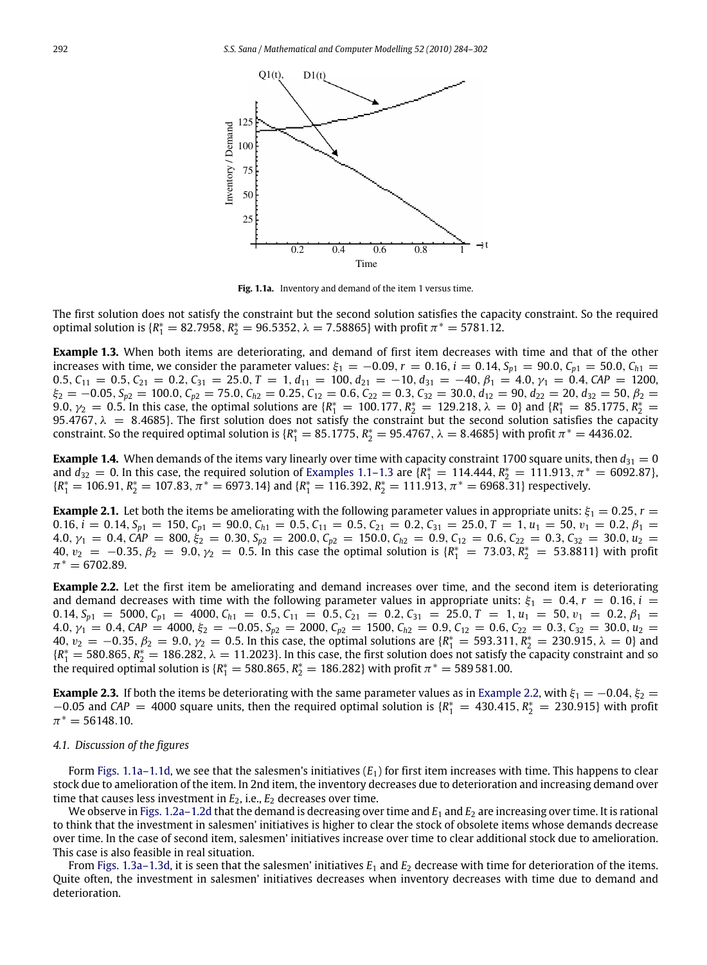<span id="page-8-1"></span>

**Fig. 1.1a.** Inventory and demand of the item 1 versus time.

The first solution does not satisfy the constraint but the second solution satisfies the capacity constraint. So the required optimal solution is { $R_1^* = 82.7958$ ,  $R_2^* = 96.5352$ ,  $λ = 7.58865$ } with profit  $π^* = 5781.12$ .

<span id="page-8-2"></span>**Example 1.3.** When both items are deteriorating, and demand of first item decreases with time and that of the other increases with time, we consider the parameter values:  $\xi_1 = -0.09$ ,  $r = 0.16$ ,  $i = 0.14$ ,  $S_{p1} = 90.0$ ,  $C_{p1} = 50.0$ ,  $C_{h1} =$ 0.5,  $C_{11} = 0.5$ ,  $C_{21} = 0.2$ ,  $C_{31} = 25.0$ ,  $T = 1$ ,  $d_{11} = 100$ ,  $d_{21} = -10$ ,  $d_{31} = -40$ ,  $\beta_1 = 4.0$ ,  $\gamma_1 = 0.4$ ,  $CAP = 1200$ ,  $\xi_2 = -0.05$ ,  $S_{p2} = 100.0$ ,  $C_{p2} = 75.0$ ,  $C_{h2} = 0.25$ ,  $C_{12} = 0.6$ ,  $C_{22} = 0.3$ ,  $C_{32} = 30.0$ ,  $d_{12} = 90$ ,  $d_{22} = 20$ ,  $d_{32} = 50$ ,  $\beta_2 = 20$ 9.0,  $γ_2 = 0.5$ . In this case, the optimal solutions are  ${R_1^* = 100.177, R_2^* = 129.218, λ = 0}$  and  ${R_1^* = 85.1775, R_2^* = 129.218}$ 95.4767,  $\lambda = 8.4685$ }. The first solution does not satisfy the constraint but the second solution satisfies the capacity constraint. So the required optimal solution is  $\{R_1^* = 85.1775, R_2^* = 95.4767, \lambda = 8.4685\}$  with profit  $\pi^* = 4436.02$ .

<span id="page-8-3"></span>**Example 1.4.** When demands of the items vary linearly over time with capacity constraint 1700 square units, then  $d_{31} = 0$ and  $d_{32} = 0$ . In this case, the required solution of [Examples 1.1–1.3](#page-7-1) are  $\{R_1^* = 114.444, R_2^* = 111.913, \pi^* = 6092.87\}$ ,  ${R_1^* = 106.91, R_2^* = 107.83, \pi^* = 6973.14}$  and  ${R_1^* = 116.392, R_2^* = 111.913, \pi^* = 6968.31}$  respectively.

<span id="page-8-4"></span>**Example 2.1.** Let both the items be ameliorating with the following parameter values in appropriate units:  $\xi_1 = 0.25$ ,  $r =$ 0.16,  $i = 0.14$ ,  $S_{p1} = 150$ ,  $C_{p1} = 90.0$ ,  $C_{h1} = 0.5$ ,  $C_{11} = 0.5$ ,  $C_{21} = 0.2$ ,  $C_{31} = 25.0$ ,  $T = 1$ ,  $u_1 = 50$ ,  $v_1 = 0.2$ ,  $\beta_1 =$  $4.0, \gamma_1 = 0.4, \text{ CAP} = 800, \xi_2 = 0.30, S_{p2} = 200.0, C_{p2} = 150.0, C_{h2} = 0.9, C_{12} = 0.6, C_{22} = 0.3, C_{32} = 30.0, u_2 = 0.0, C_{p3} = 0.0, C_{p4} = 0.0, C_{p5} = 0.0, C_{p6} = 0.0, C_{p7} = 0.0, C_{p8} = 0.0, C_{p9} = 0.0, C_{p0} = 0.0, C_{p0} = 0.0, C_{p1}$  $40, v_2 = −0.35, β_2 = 9.0, γ_2 = 0.5$ . In this case the optimal solution is  $\{R_1^* = 73.03, R_2^* = 53.8811\}$  with profit  $\pi^* = 6702.89.$ 

<span id="page-8-0"></span>**Example 2.2.** Let the first item be ameliorating and demand increases over time, and the second item is deteriorating and demand decreases with time with the following parameter values in appropriate units:  $\xi_1 = 0.4$ ,  $r = 0.16$ ,  $i =$ 0.14,  $S_{p1} = 5000$ ,  $C_{p1} = 4000$ ,  $C_{h1} = 0.5$ ,  $C_{11} = 0.5$ ,  $C_{21} = 0.2$ ,  $C_{31} = 25.0$ ,  $T = 1$ ,  $u_1 = 50$ ,  $v_1 = 0.2$ ,  $\beta_1 =$  $4.0, \gamma_1 = 0.4, \text{ CAP} = 4000, \xi_2 = -0.05, S_{p2} = 2000, C_{p2} = 1500, C_{h2} = 0.9, C_{12} = 0.6, C_{22} = 0.3, C_{32} = 30.0, u_2 = 0.0, C_{p3} = 0.0, C_{p4} = 0.0, C_{p5} = 0.0, C_{p6} = 0.0, C_{p7} = 0.0, C_{p8} = 0.0, C_{p9} = 0.0, C_{p0} = 0.0, C_{p1} = 0.0, C_{p2} =$  $40, v_2 = −0.35, β_2 = 9.0, γ_2 = 0.5$ . In this case, the optimal solutions are  ${R_1^* = 593.311, R_2^* = 230.915, λ = 0}$  and  ${R_1^* = 580.865, R_2^* = 186.282, \lambda = 11.2023}.$  In this case, the first solution does not satisfy the capacity constraint and so the required optimal solution is { $R_1^* = 580.865$ ,  $R_2^* = 186.282$ } with profit  $\pi^* = 589\,581.00$ .

**Example 2.3.** If both the items be deteriorating with the same parameter values as in [Example 2.2,](#page-8-0) with  $\xi_1 = -0.04$ ,  $\xi_2 =$  $-0.05$  and *CAP* = 4000 square units, then the required optimal solution is {*R*<sup>\*</sup><sub>1</sub> = 430.415, *R*<sup>\*</sup><sub>2</sub> = 230.915} with profit  $\pi^* = 56148.10.$ 

#### *4.1. Discussion of the figures*

Form [Figs. 1.1a–1.1d,](#page-8-1) we see that the salesmen's initiatives (*E*1) for first item increases with time. This happens to clear stock due to amelioration of the item. In 2nd item, the inventory decreases due to deterioration and increasing demand over time that causes less investment in  $E_2$ , i.e.,  $E_2$  decreases over time.

We observe in [Figs. 1.2a–1.2d](#page-9-0) that the demand is decreasing over time and  $E_1$  and  $E_2$  are increasing over time. It is rational to think that the investment in salesmen' initiatives is higher to clear the stock of obsolete items whose demands decrease over time. In the case of second item, salesmen' initiatives increase over time to clear additional stock due to amelioration. This case is also feasible in real situation.

From [Figs. 1.3a–1.3d,](#page-10-0) it is seen that the salesmen' initiatives *E*<sup>1</sup> and *E*<sup>2</sup> decrease with time for deterioration of the items. Quite often, the investment in salesmen' initiatives decreases when inventory decreases with time due to demand and deterioration.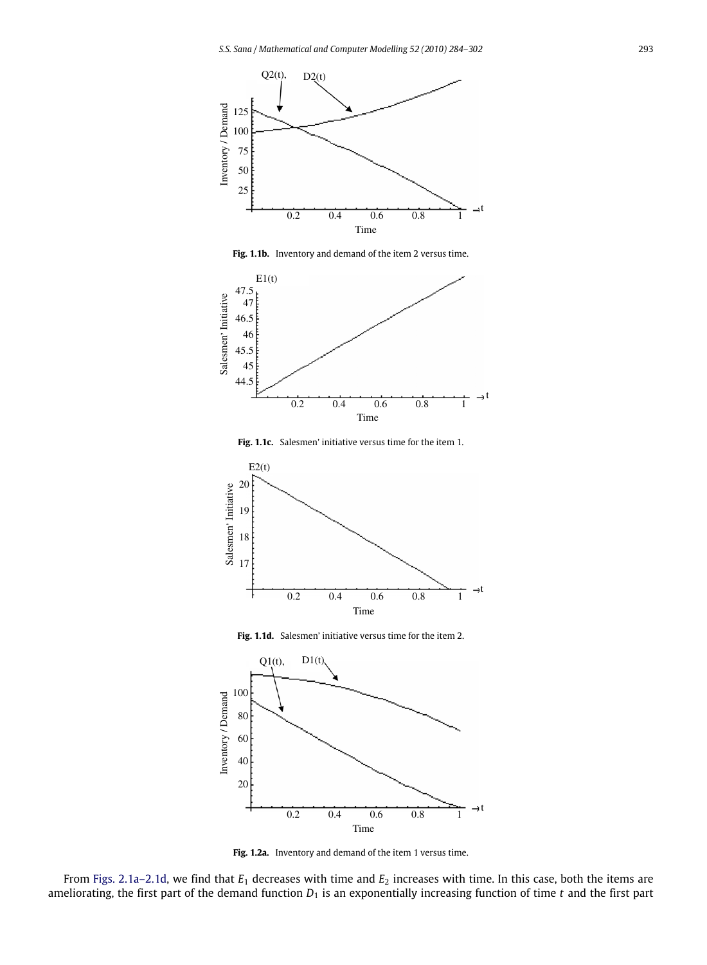

**Fig. 1.1b.** Inventory and demand of the item 2 versus time.



**Fig. 1.1c.** Salesmen' initiative versus time for the item 1.



**Fig. 1.1d.** Salesmen' initiative versus time for the item 2.

<span id="page-9-0"></span>

Fig. 1.2a. Inventory and demand of the item 1 versus time.

From [Figs. 2.1a–2.1d,](#page-12-0) we find that *E*<sup>1</sup> decreases with time and *E*<sup>2</sup> increases with time. In this case, both the items are ameliorating, the first part of the demand function  $D_1$  is an exponentially increasing function of time  $t$  and the first part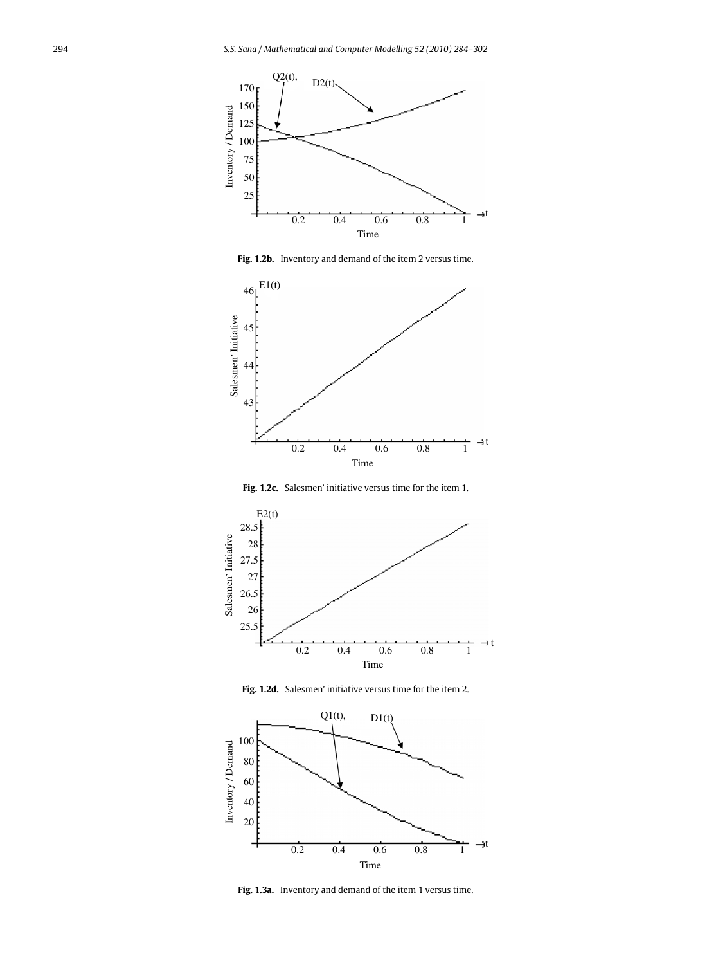

**Fig. 1.2b.** Inventory and demand of the item 2 versus time.



**Fig. 1.2c.** Salesmen' initiative versus time for the item 1.



**Fig. 1.2d.** Salesmen' initiative versus time for the item 2.

<span id="page-10-0"></span>

**Fig. 1.3a.** Inventory and demand of the item 1 versus time.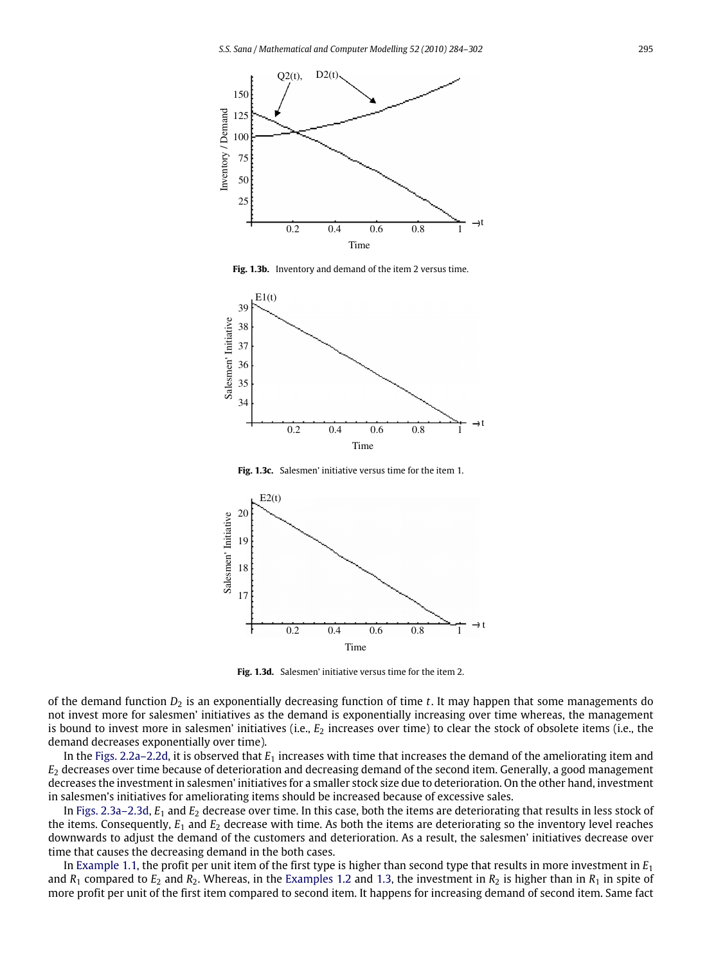

**Fig. 1.3b.** Inventory and demand of the item 2 versus time.



**Fig. 1.3c.** Salesmen' initiative versus time for the item 1.



**Fig. 1.3d.** Salesmen' initiative versus time for the item 2.

of the demand function  $D_2$  is an exponentially decreasing function of time  $t$ . It may happen that some managements do not invest more for salesmen' initiatives as the demand is exponentially increasing over time whereas, the management is bound to invest more in salesmen' initiatives (i.e., *E*<sup>2</sup> increases over time) to clear the stock of obsolete items (i.e., the demand decreases exponentially over time).

In the [Figs. 2.2a–2.2d,](#page-13-0) it is observed that *E*<sup>1</sup> increases with time that increases the demand of the ameliorating item and *E*<sup>2</sup> decreases over time because of deterioration and decreasing demand of the second item. Generally, a good management decreases the investment in salesmen' initiatives for a smaller stock size due to deterioration. On the other hand, investment in salesmen's initiatives for ameliorating items should be increased because of excessive sales.

In [Figs. 2.3a–2.3d,](#page-14-1) *E*<sup>1</sup> and *E*<sup>2</sup> decrease over time. In this case, both the items are deteriorating that results in less stock of the items. Consequently, *E*<sup>1</sup> and *E*<sup>2</sup> decrease with time. As both the items are deteriorating so the inventory level reaches downwards to adjust the demand of the customers and deterioration. As a result, the salesmen' initiatives decrease over time that causes the decreasing demand in the both cases.

In [Example 1.1,](#page-7-1) the profit per unit item of the first type is higher than second type that results in more investment in *E*<sup>1</sup> and  $R_1$  compared to  $E_2$  and  $R_2$ . Whereas, in the [Examples 1.2](#page-7-2) and [1.3,](#page-8-2) the investment in  $R_2$  is higher than in  $R_1$  in spite of more profit per unit of the first item compared to second item. It happens for increasing demand of second item. Same fact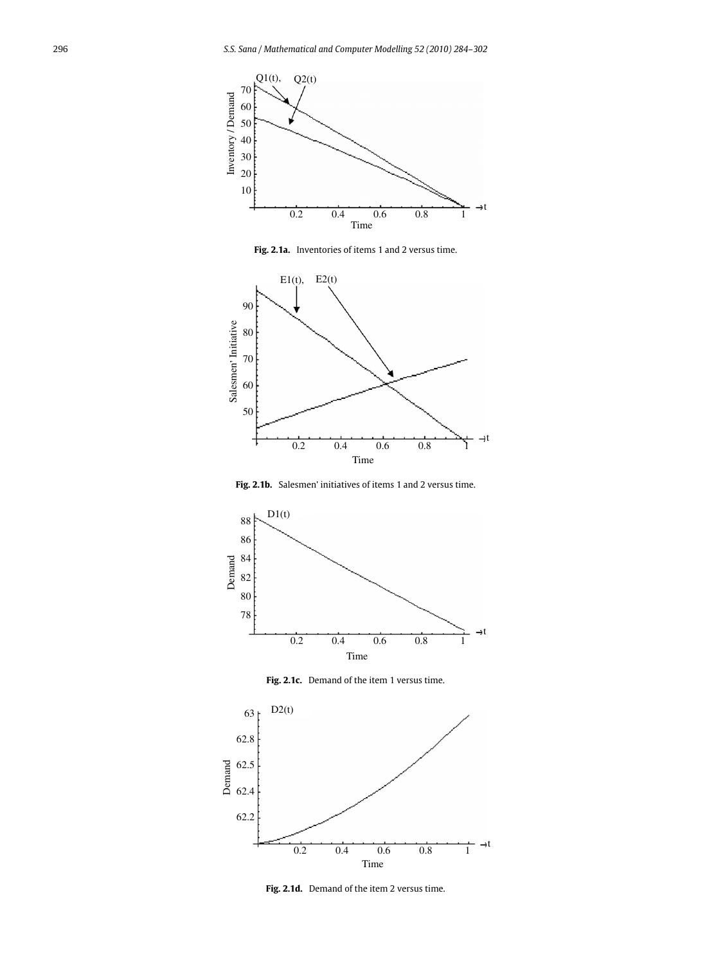<span id="page-12-0"></span>

**Fig. 2.1a.** Inventories of items 1 and 2 versus time.



**Fig. 2.1b.** Salesmen' initiatives of items 1 and 2 versus time.



Fig. 2.1c. Demand of the item 1 versus time.



**Fig. 2.1d.** Demand of the item 2 versus time.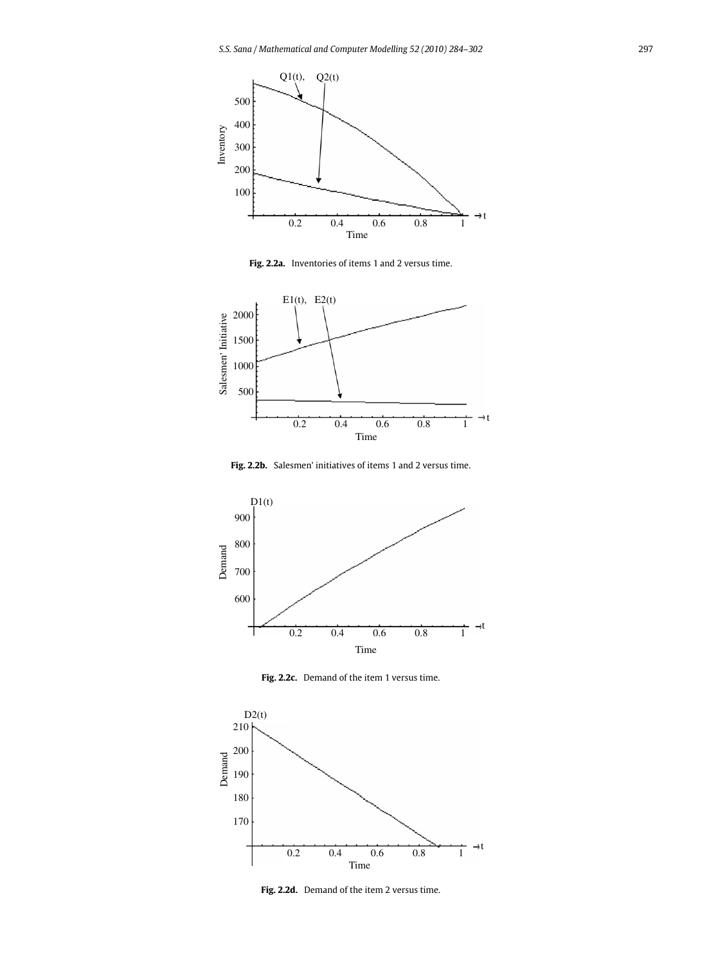<span id="page-13-0"></span>

**Fig. 2.2a.** Inventories of items 1 and 2 versus time.



**Fig. 2.2b.** Salesmen' initiatives of items 1 and 2 versus time.



**Fig. 2.2c.** Demand of the item 1 versus time.



**Fig. 2.2d.** Demand of the item 2 versus time.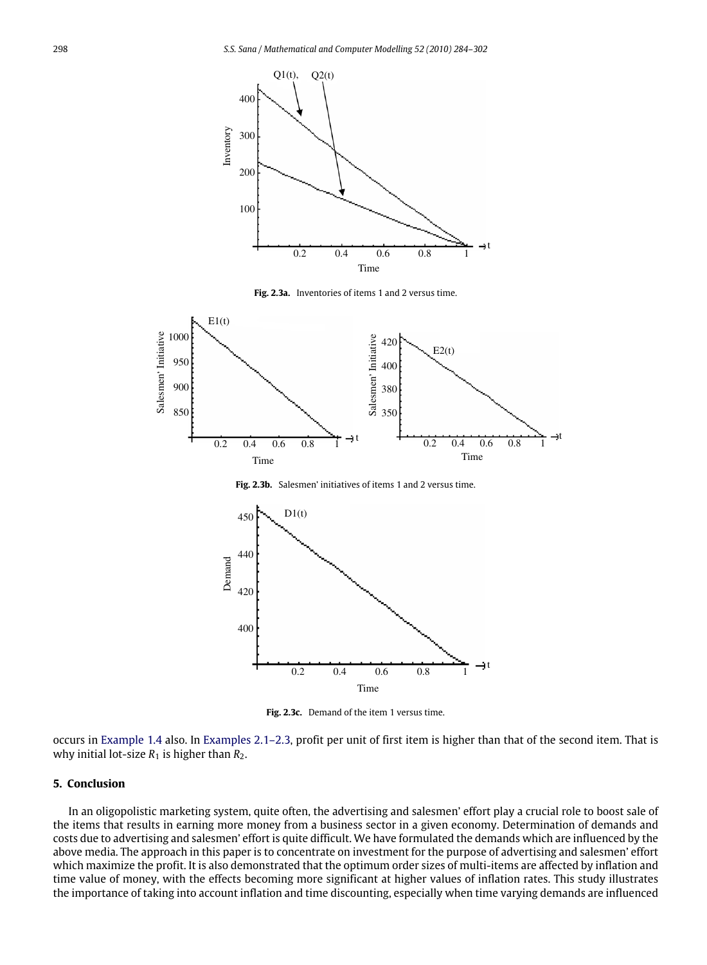<span id="page-14-1"></span>

**Fig. 2.3a.** Inventories of items 1 and 2 versus time.



**Fig. 2.3b.** Salesmen' initiatives of items 1 and 2 versus time.



Fig. 2.3c. Demand of the item 1 versus time.

occurs in [Example 1.4](#page-8-3) also. In [Examples 2.1–2.3,](#page-8-4) profit per unit of first item is higher than that of the second item. That is why initial lot-size  $R_1$  is higher than  $R_2$ .

#### <span id="page-14-0"></span>**5. Conclusion**

In an oligopolistic marketing system, quite often, the advertising and salesmen' effort play a crucial role to boost sale of the items that results in earning more money from a business sector in a given economy. Determination of demands and costs due to advertising and salesmen' effort is quite difficult. We have formulated the demands which are influenced by the above media. The approach in this paper is to concentrate on investment for the purpose of advertising and salesmen' effort which maximize the profit. It is also demonstrated that the optimum order sizes of multi-items are affected by inflation and time value of money, with the effects becoming more significant at higher values of inflation rates. This study illustrates the importance of taking into account inflation and time discounting, especially when time varying demands are influenced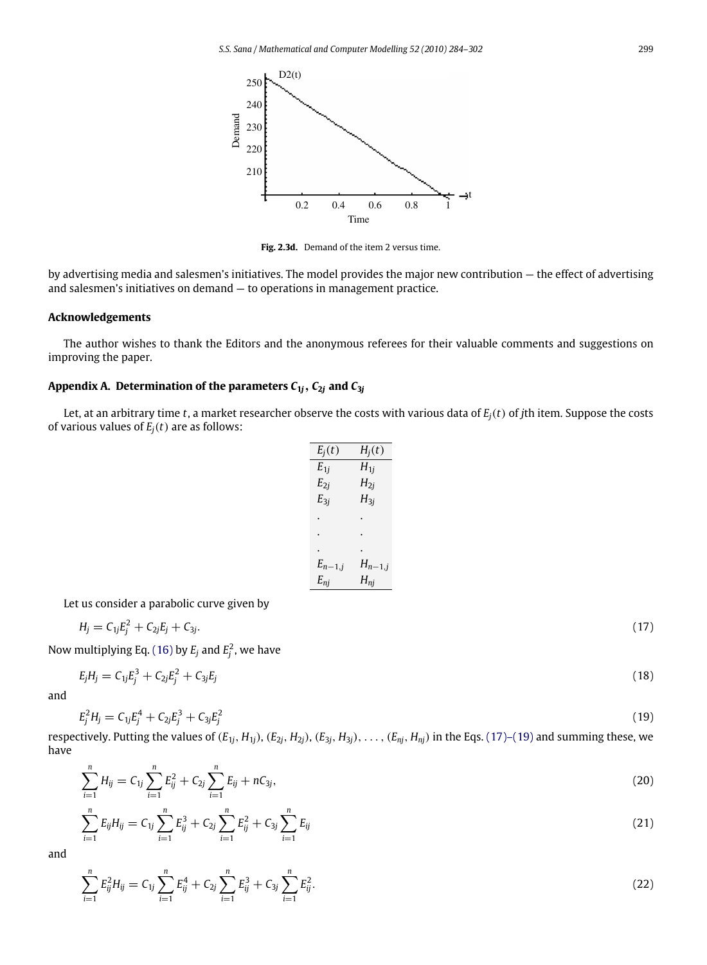

**Fig. 2.3d.** Demand of the item 2 versus time.

by advertising media and salesmen's initiatives. The model provides the major new contribution — the effect of advertising and salesmen's initiatives on demand — to operations in management practice.

### **Acknowledgements**

The author wishes to thank the Editors and the anonymous referees for their valuable comments and suggestions on improving the paper.

## <span id="page-15-0"></span>Appendix A. Determination of the parameters  $C_{1j}$ ,  $C_{2j}$  and  $C_{3j}$

Let, at an arbitrary time *t*, a market researcher observe the costs with various data of *Ej*(*t*) of *j*th item. Suppose the costs of various values of  $E_i(t)$  are as follows:

<span id="page-15-2"></span><span id="page-15-1"></span>

| $E_j(t)$    | $H_i(t)$    |
|-------------|-------------|
| $E_{1j}$    | $H_{1i}$    |
| $E_{2j}$    | $H_{2i}$    |
| $E_{3j}$    | $H_{3j}$    |
|             |             |
|             |             |
|             |             |
| $E_{n-1,j}$ | $H_{n-1,j}$ |
| $E_{nj}$    | $H_{nj}$    |
|             |             |

Let us consider a parabolic curve given by

$$
H_j = C_{1j}E_j^2 + C_{2j}E_j + C_{3j}.\tag{17}
$$

Now multiplying Eq. [\(16\)](#page-5-1) by  $E_j$  and  $E_j^2$ , we have

$$
E_j H_j = C_{1j} E_j^3 + C_{2j} E_j^2 + C_{3j} E_j \tag{18}
$$

and

$$
E_j^2 H_j = C_{1j} E_j^4 + C_{2j} E_j^3 + C_{3j} E_j^2 \tag{19}
$$

respectively. Putting the values of  $(E_{1j}, H_{1j})$ ,  $(E_{2j}, H_{2j})$ ,  $(E_{3j}, H_{3j})$ , ...,  $(E_{nj}, H_{nj})$  in the Eqs. [\(17\)–\(19\)](#page-15-1) and summing these, we have

$$
\sum_{i=1}^{n} H_{ij} = C_{1j} \sum_{i=1}^{n} E_{ij}^{2} + C_{2j} \sum_{i=1}^{n} E_{ij} + nC_{3j}, \qquad (20)
$$

$$
\sum_{i=1}^{n} E_{ij} H_{ij} = C_{1j} \sum_{i=1}^{n} E_{ij}^3 + C_{2j} \sum_{i=1}^{n} E_{ij}^2 + C_{3j} \sum_{i=1}^{n} E_{ij}
$$
\n(21)

and

$$
\sum_{i=1}^{n} E_{ij}^{2} H_{ij} = C_{1j} \sum_{i=1}^{n} E_{ij}^{4} + C_{2j} \sum_{i=1}^{n} E_{ij}^{3} + C_{3j} \sum_{i=1}^{n} E_{ij}^{2}.
$$
\n(22)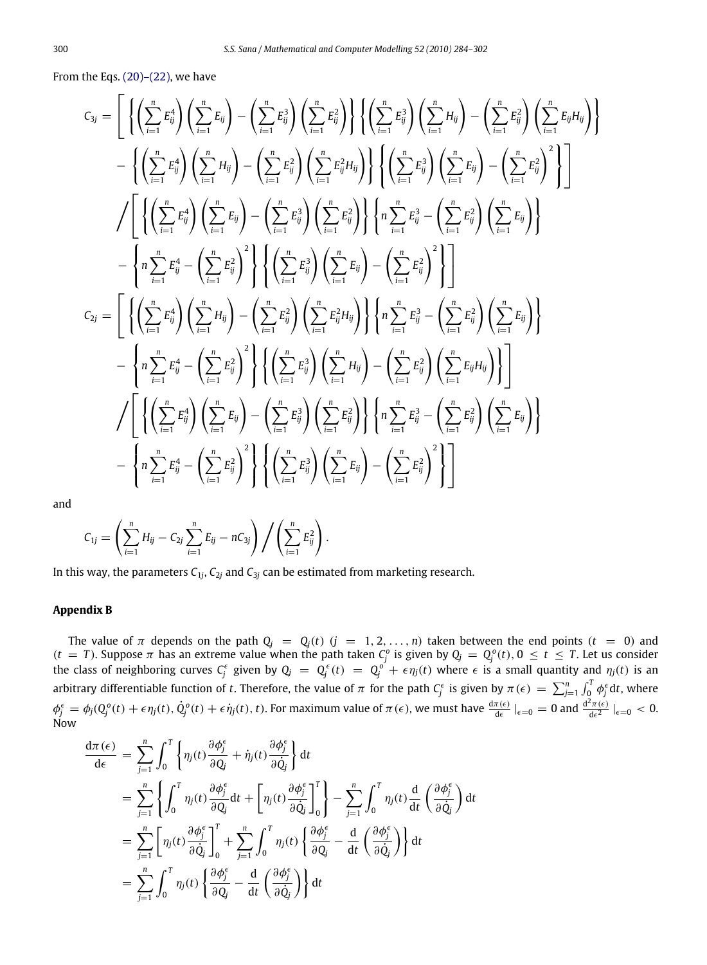From the Eqs.  $(20)$ – $(22)$ , we have

$$
C_{3j} = \left[ \left\{ \left( \sum_{i=1}^{n} E_{ij}^{4} \right) \left( \sum_{i=1}^{n} E_{ij} \right) - \left( \sum_{i=1}^{n} E_{ij}^{3} \right) \left( \sum_{i=1}^{n} E_{ij}^{2} \right) \right\} \left\{ \left( \sum_{i=1}^{n} E_{ij}^{3} \right) \left( \sum_{i=1}^{n} H_{ij} \right) - \left( \sum_{i=1}^{n} E_{ij}^{2} \right) \left( \sum_{i=1}^{n} E_{ij}^{4} \right) \left( \sum_{i=1}^{n} E_{ij}^{2} \right) \left( \sum_{i=1}^{n} E_{ij}^{2} \right) \left( \sum_{i=1}^{n} E_{ij}^{2} \right) \left( \sum_{i=1}^{n} E_{ij}^{3} \right) \left( \sum_{i=1}^{n} E_{ij}^{3} \right) \left( \sum_{i=1}^{n} E_{ij}^{3} \right) - \left( \sum_{i=1}^{n} E_{ij}^{3} \right) \left( \sum_{i=1}^{n} E_{ij}^{3} \right) \left( \sum_{i=1}^{n} E_{ij}^{3} \right) - \left( \sum_{i=1}^{n} E_{ij}^{3} \right) \left( \sum_{i=1}^{n} E_{ij}^{3} \right) \left( \sum_{i=1}^{n} E_{ij}^{3} \right) \left( \sum_{i=1}^{n} E_{ij}^{3} \right) \left( \sum_{i=1}^{n} E_{ij}^{2} \right) \left( \sum_{i=1}^{n} E_{ij}^{2} \right) \left( \sum_{i=1}^{n} E_{ij}^{2} \right) \left( \sum_{i=1}^{n} E_{ij}^{2} \right) \left( \sum_{i=1}^{n} E_{ij}^{2} \right) \left( \sum_{i=1}^{n} E_{ij}^{2} \right) \left( \sum_{i=1}^{n} E_{ij}^{2} \right) \left( \sum_{i=1}^{n} E_{ij}^{2} \right) \left( \sum_{i=1}^{n} E_{ij}^{2} \right) \left( \sum_{i=1}^{n} E_{ij}^{2} \right) \left( \sum_{i=1}^{n} E_{ij}^{2} \right) \left( \
$$

and

$$
C_{1j} = \left(\sum_{i=1}^n H_{ij} - C_{2j} \sum_{i=1}^n E_{ij} - nC_{3j}\right) / \left(\sum_{i=1}^n E_{ij}^2\right).
$$

In this way, the parameters *C*<sup>1</sup>*<sup>j</sup>* , *C*<sup>2</sup>*<sup>j</sup>* and *C*<sup>3</sup>*<sup>j</sup>* can be estimated from marketing research.

#### <span id="page-16-0"></span>**Appendix B**

The value of  $\pi$  depends on the path  $Q_j = Q_j(t)$   $(j = 1, 2, \ldots, n)$  taken between the end points  $(t = 0)$  and  $(t = T)$ . Suppose  $\pi$  has an extreme value when the path taken  $C_j^o$  is given by  $Q_j = Q_j^o(t)$ ,  $0 \le t \le T$ . Let us consider the class of neighboring curves  $C_j^{\epsilon}$  given by  $Q_j = Q_j^{\epsilon}(t) = Q_j^{o'} + \epsilon \eta_j(t)$  where  $\epsilon$  is a small quantity and  $\eta_j(t)$  is an arbitrary differentiable function of *t*. Therefore, the value of  $\pi$  for the path  $C_f^{\epsilon}$  is given by  $\pi(\epsilon) = \sum_{j=1}^n \int_0^T \phi_j^{\epsilon} dt$ , where  $\phi_j^\epsilon = \phi_j(Q_j^o(t) + \epsilon \eta_j(t), \dot{Q}_j^o(t) + \epsilon \dot{\eta}_j(t), t)$ . For maximum value of  $\pi(\epsilon)$ , we must have  $\frac{d\pi(\epsilon)}{d\epsilon}|_{\epsilon=0} = 0$  and  $\frac{d^2\pi(\epsilon)}{d\epsilon^2}$  $\frac{\epsilon_{\pi(\epsilon)}}{d\epsilon^2}\big|_{\epsilon=0} < 0.$ Now

$$
\frac{d\pi(\epsilon)}{d\epsilon} = \sum_{j=1}^{n} \int_{0}^{T} \left\{ \eta_{j}(t) \frac{\partial \phi_{j}^{\epsilon}}{\partial Q_{j}} + \dot{\eta}_{j}(t) \frac{\partial \phi_{j}^{\epsilon}}{\partial \dot{Q}_{j}} \right\} dt
$$
\n
$$
= \sum_{j=1}^{n} \left\{ \int_{0}^{T} \eta_{j}(t) \frac{\partial \phi_{j}^{\epsilon}}{\partial Q_{j}} dt + \left[ \eta_{j}(t) \frac{\partial \phi_{j}^{\epsilon}}{\partial \dot{Q}_{j}} \right]_{0}^{T} \right\} - \sum_{j=1}^{n} \int_{0}^{T} \eta_{j}(t) \frac{d}{dt} \left( \frac{\partial \phi_{j}^{\epsilon}}{\partial \dot{Q}_{j}} \right) dt
$$
\n
$$
= \sum_{j=1}^{n} \left[ \eta_{j}(t) \frac{\partial \phi_{j}^{\epsilon}}{\partial \dot{Q}_{j}} \right]_{0}^{T} + \sum_{j=1}^{n} \int_{0}^{T} \eta_{j}(t) \left\{ \frac{\partial \phi_{j}^{\epsilon}}{\partial Q_{j}} - \frac{d}{dt} \left( \frac{\partial \phi_{j}^{\epsilon}}{\partial \dot{Q}_{j}} \right) \right\} dt
$$
\n
$$
= \sum_{j=1}^{n} \int_{0}^{T} \eta_{j}(t) \left\{ \frac{\partial \phi_{j}^{\epsilon}}{\partial Q_{j}} - \frac{d}{dt} \left( \frac{\partial \phi_{j}^{\epsilon}}{\partial \dot{Q}_{j}} \right) \right\} dt
$$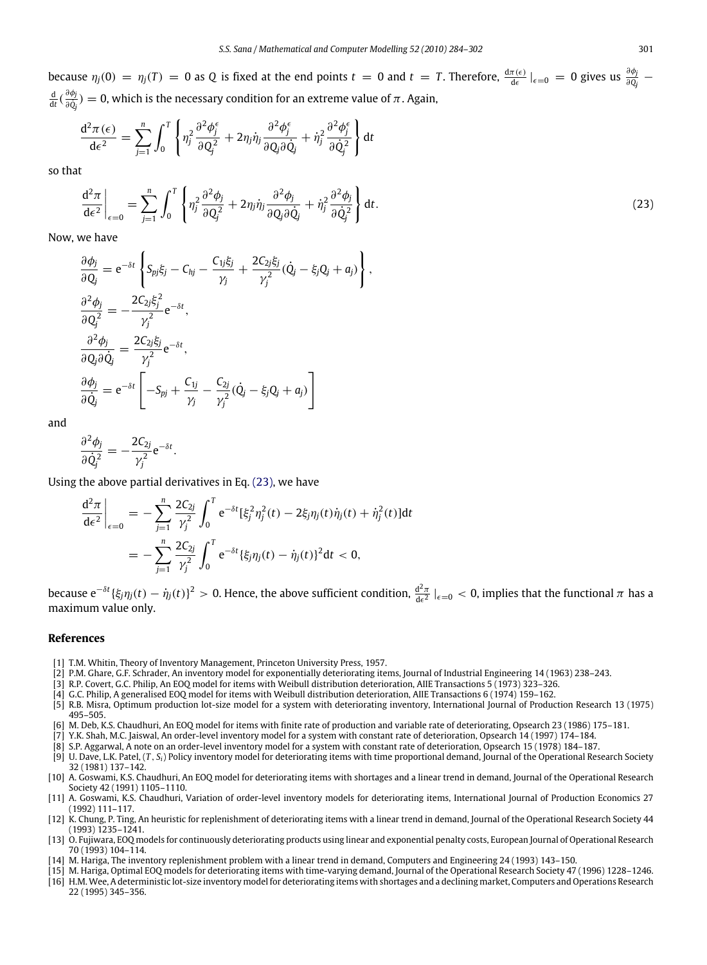because  $\eta_j(0) = \eta_j(T) = 0$  as Q is fixed at the end points  $t = 0$  and  $t = T$ . Therefore,  $\frac{d\pi(\epsilon)}{d\epsilon}|_{\epsilon=0} = 0$  gives us  $\frac{\partial \phi_j}{\partial Q_j}$ <mark>d</mark> (  $\frac{\partial \phi_j}{\partial \dot{Q}_j}$ ∂*Q*˙ *j* ) = 0, which is the necessary condition for an extreme value of π. Again,

$$
\frac{\mathrm{d}^2 \pi (\epsilon)}{\mathrm{d} \epsilon^2} = \sum_{j=1}^n \int_0^T \left\{ \eta_j^2 \frac{\partial^2 \phi_j^{\epsilon}}{\partial Q_j^2} + 2 \eta_j \dot{\eta}_j \frac{\partial^2 \phi_j^{\epsilon}}{\partial Q_j \partial \dot{Q}_j} + \dot{\eta}_j^2 \frac{\partial^2 \phi_j^{\epsilon}}{\partial \dot{Q}_j^2} \right\} \mathrm{d} t
$$

so that

$$
\frac{\mathrm{d}^2 \pi}{\mathrm{d}\epsilon^2}\bigg|_{\epsilon=0} = \sum_{j=1}^n \int_0^T \left\{ \eta_j^2 \frac{\partial^2 \phi_j}{\partial Q_j^2} + 2\eta_j \dot{\eta}_j \frac{\partial^2 \phi_j}{\partial Q_j \partial \dot{Q}_j} + \dot{\eta}_j^2 \frac{\partial^2 \phi_j}{\partial \dot{Q}_j^2} \right\} \mathrm{d}t. \tag{23}
$$

<span id="page-17-16"></span>,

Now, we have

$$
\frac{\partial \phi_j}{\partial Q_j} = e^{-\delta t} \left\{ S_{pj} \xi_j - C_{hj} - \frac{C_{1j} \xi_j}{\gamma_j} + \frac{2C_{2j} \xi_j}{\gamma_j^2} (\dot{Q}_j - \xi_j Q_j + a_j) \right\}
$$
  
\n
$$
\frac{\partial^2 \phi_j}{\partial Q_j^2} = -\frac{2C_{2j} \xi_j^2}{\gamma_j^2} e^{-\delta t},
$$
  
\n
$$
\frac{\partial^2 \phi_j}{\partial Q_j \partial \dot{Q}_j} = \frac{2C_{2j} \xi_j}{\gamma_j^2} e^{-\delta t},
$$
  
\n
$$
\frac{\partial \phi_j}{\partial \dot{Q}_j} = e^{-\delta t} \left[ -S_{pj} + \frac{C_{1j}}{\gamma_j} - \frac{C_{2j}}{\gamma_j^2} (\dot{Q}_j - \xi_j Q_j + a_j) \right]
$$

and

$$
\frac{\partial^2 \phi_j}{\partial \dot{Q}_j^2} = -\frac{2C_{2j}}{\gamma_j^2} e^{-\delta t}.
$$

Using the above partial derivatives in Eq. [\(23\),](#page-17-16) we have

$$
\frac{d^2 \pi}{d\epsilon^2}\Big|_{\epsilon=0} = -\sum_{j=1}^n \frac{2C_{2j}}{\gamma_j^2} \int_0^T e^{-\delta t} [\xi_j^2 \eta_j^2(t) - 2\xi_j \eta_j(t)\dot{\eta}_j(t) + \dot{\eta}_j^2(t)] dt
$$
  
= 
$$
-\sum_{j=1}^n \frac{2C_{2j}}{\gamma_j^2} \int_0^T e^{-\delta t} {\{\xi_j \eta_j(t) - \dot{\eta}_j(t)\} }^2 dt < 0,
$$

because  $e^{-\delta t}$  { $\xi_j \eta_j(t) - \eta_j(t)$ }<sup>2</sup> > 0. Hence, the above sufficient condition,  $\frac{d^2 \pi}{d \epsilon^2}$  |<sub> $\epsilon = 0$ </sub> < 0, implies that the functional π has a maximum value only.

#### **References**

- <span id="page-17-0"></span>[1] T.M. Whitin, Theory of Inventory Management, Princeton University Press, 1957.
- <span id="page-17-1"></span>[2] P.M. Ghare, G.F. Schrader, An inventory model for exponentially deteriorating items, Journal of Industrial Engineering 14 (1963) 238–243.
- <span id="page-17-2"></span>[3] R.P. Covert, G.C. Philip, An EOQ model for items with Weibull distribution deterioration, AIIE Transactions 5 (1973) 323–326.
- <span id="page-17-3"></span>[4] G.C. Philip, A generalised EOQ model for items with Weibull distribution deterioration, AIIE Transactions 6 (1974) 159–162.
- <span id="page-17-4"></span>[5] R.B. Misra, Optimum production lot-size model for a system with deteriorating inventory, International Journal of Production Research 13 (1975) 495–505.
- <span id="page-17-5"></span>[6] M. Deb, K.S. Chaudhuri, An EOQ model for items with finite rate of production and variable rate of deteriorating, Opsearch 23 (1986) 175–181.
- <span id="page-17-6"></span>[7] Y.K. Shah, M.C. Jaiswal, An order-level inventory model for a system with constant rate of deterioration, Opsearch 14 (1997) 174–184.
- <span id="page-17-7"></span>[8] S.P. Aggarwal, A note on an order-level inventory model for a system with constant rate of deterioration, Opsearch 15 (1978) 184–187.
- <span id="page-17-8"></span>[9] U. Dave, L.K. Patel, (*T* , *Si*) Policy inventory model for deteriorating items with time proportional demand, Journal of the Operational Research Society 32 (1981) 137–142.
- <span id="page-17-9"></span>[10] A. Goswami, K.S. Chaudhuri, An EOQ model for deteriorating items with shortages and a linear trend in demand, Journal of the Operational Research Society 42 (1991) 1105–1110.
- <span id="page-17-10"></span>[11] A. Goswami, K.S. Chaudhuri, Variation of order-level inventory models for deteriorating items, International Journal of Production Economics 27 (1992) 111–117.
- <span id="page-17-11"></span>[12] K. Chung, P. Ting, An heuristic for replenishment of deteriorating items with a linear trend in demand, Journal of the Operational Research Society 44 (1993) 1235–1241.
- <span id="page-17-12"></span>[13] O. Fujiwara, EOQ models for continuously deteriorating products using linear and exponential penalty costs, European Journal of Operational Research 70 (1993) 104–114.
- <span id="page-17-13"></span>[14] M. Hariga, The inventory replenishment problem with a linear trend in demand, Computers and Engineering 24 (1993) 143–150.
- <span id="page-17-14"></span>[15] M. Hariga, Optimal EOQ models for deteriorating items with time-varying demand, Journal of the Operational Research Society 47 (1996) 1228–1246.
- <span id="page-17-15"></span>[16] H.M. Wee, A deterministic lot-size inventory model for deteriorating items with shortages and a declining market, Computers and Operations Research 22 (1995) 345–356.